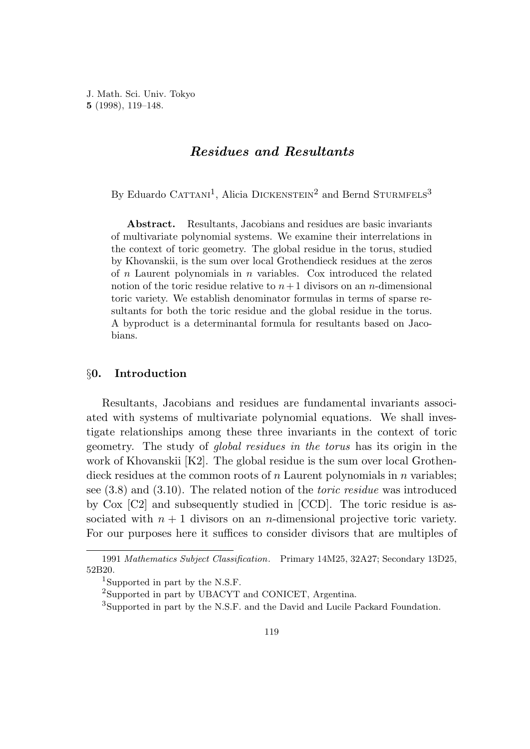J. Math. Sci. Univ. Tokyo **5** (1998), 119–148.

# *Residues and Resultants*

By Eduardo CATTANI<sup>1</sup>, Alicia DICKENSTEIN<sup>2</sup> and Bernd STURMFELS<sup>3</sup>

**Abstract.** Resultants, Jacobians and residues are basic invariants of multivariate polynomial systems. We examine their interrelations in the context of toric geometry. The global residue in the torus, studied by Khovanskii, is the sum over local Grothendieck residues at the zeros of *n* Laurent polynomials in *n* variables. Cox introduced the related notion of the toric residue relative to  $n+1$  divisors on an *n*-dimensional toric variety. We establish denominator formulas in terms of sparse resultants for both the toric residue and the global residue in the torus. A byproduct is a determinantal formula for resultants based on Jacobians.

## §**0. Introduction**

Resultants, Jacobians and residues are fundamental invariants associated with systems of multivariate polynomial equations. We shall investigate relationships among these three invariants in the context of toric geometry. The study of global residues in the torus has its origin in the work of Khovanskii [K2]. The global residue is the sum over local Grothendieck residues at the common roots of *n* Laurent polynomials in *n* variables; see  $(3.8)$  and  $(3.10)$ . The related notion of the *toric residue* was introduced by Cox [C2] and subsequently studied in [CCD]. The toric residue is associated with  $n + 1$  divisors on an *n*-dimensional projective toric variety. For our purposes here it suffices to consider divisors that are multiples of

<sup>1991</sup> *Mathematics Subject Classification*. Primary 14M25, 32A27; Secondary 13D25, 52B20.

<sup>&</sup>lt;sup>1</sup>Supported in part by the N.S.F.

<sup>2</sup>Supported in part by UBACYT and CONICET, Argentina.

<sup>&</sup>lt;sup>3</sup>Supported in part by the N.S.F. and the David and Lucile Packard Foundation.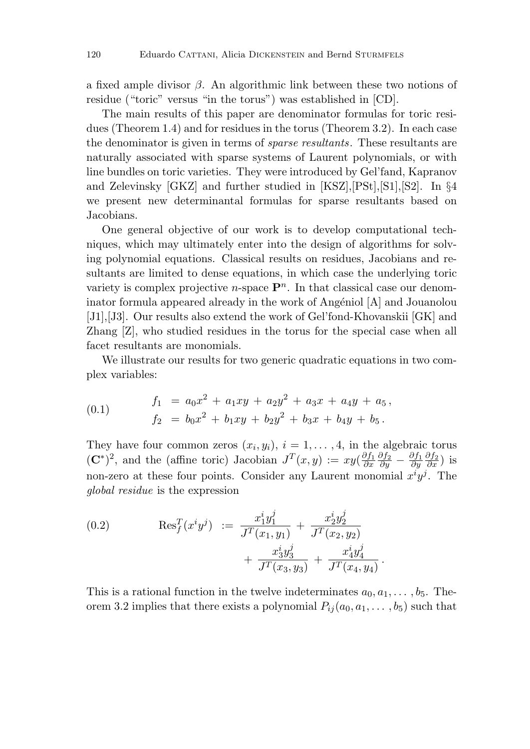a fixed ample divisor *β*. An algorithmic link between these two notions of residue ("toric" versus "in the torus") was established in [CD].

The main results of this paper are denominator formulas for toric residues (Theorem 1.4) and for residues in the torus (Theorem 3.2). In each case the denominator is given in terms of sparse resultants. These resultants are naturally associated with sparse systems of Laurent polynomials, or with line bundles on toric varieties. They were introduced by Gel'fand, Kapranov and Zelevinsky [GKZ] and further studied in [KSZ],[PSt],[S1],[S2]. In §4 we present new determinantal formulas for sparse resultants based on Jacobians.

One general objective of our work is to develop computational techniques, which may ultimately enter into the design of algorithms for solving polynomial equations. Classical results on residues, Jacobians and resultants are limited to dense equations, in which case the underlying toric variety is complex projective *n*-space  $\mathbf{P}^n$ . In that classical case our denominator formula appeared already in the work of Angéniol  $[A]$  and Jouanolou [J1],[J3]. Our results also extend the work of Gel'fond-Khovanskii [GK] and Zhang [Z], who studied residues in the torus for the special case when all facet resultants are monomials.

We illustrate our results for two generic quadratic equations in two complex variables:

(0.1) 
$$
f_1 = a_0 x^2 + a_1 xy + a_2 y^2 + a_3 x + a_4 y + a_5,
$$

$$
f_2 = b_0 x^2 + b_1 xy + b_2 y^2 + b_3 x + b_4 y + b_5.
$$

They have four common zeros  $(x_i, y_i)$ ,  $i = 1, \ldots, 4$ , in the algebraic torus  $({\bf C}^*)^2$ , and the (affine toric) Jacobian  $J^T(x,y) := xy(\frac{\partial f_1}{\partial x})$ *∂f*<sup>2</sup> *∂y* <sup>−</sup> *∂f*<sup>1</sup> *∂y ∂f*<sup>2</sup> *∂x* ) is non-zero at these four points. Consider any Laurent monomial  $x^i y^j$ . The global residue is the expression

(0.2) 
$$
\operatorname{Res}^T_f(x^i y^j) := \frac{x_1^i y_1^j}{J^T(x_1, y_1)} + \frac{x_2^i y_2^j}{J^T(x_2, y_2)} + \frac{x_3^i y_3^j}{J^T(x_3, y_3)} + \frac{x_4^i y_4^j}{J^T(x_4, y_4)}
$$

This is a rational function in the twelve indeterminates  $a_0, a_1, \ldots, b_5$ . Theorem 3.2 implies that there exists a polynomial  $P_{ij}(a_0, a_1, \ldots, b_5)$  such that

*.*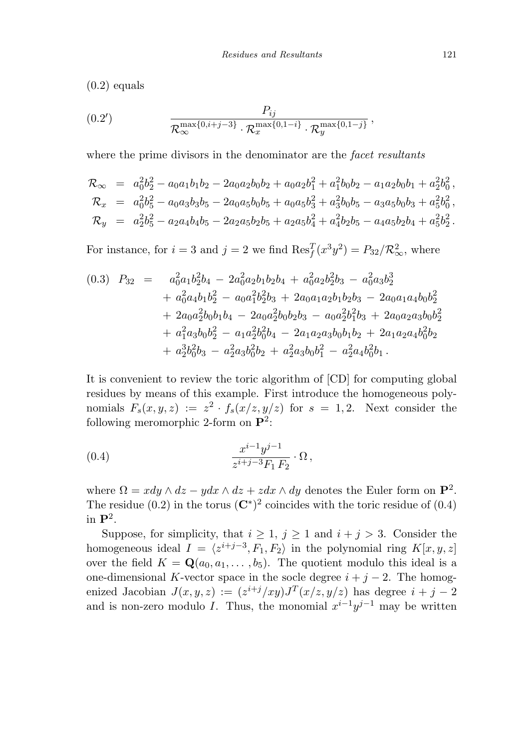$(0.2)$  equals

(0.2') 
$$
\frac{P_{ij}}{\mathcal{R}_{\infty}^{\max\{0,i+j-3\}} \cdot \mathcal{R}_{x}^{\max\{0,1-i\}} \cdot \mathcal{R}_{y}^{\max\{0,1-j\}}},
$$

where the prime divisors in the denominator are the *facet resultants* 

$$
\mathcal{R}_{\infty} = a_0^2 b_2^2 - a_0 a_1 b_1 b_2 - 2 a_0 a_2 b_0 b_2 + a_0 a_2 b_1^2 + a_1^2 b_0 b_2 - a_1 a_2 b_0 b_1 + a_2^2 b_0^2, \n\mathcal{R}_x = a_0^2 b_5^2 - a_0 a_3 b_3 b_5 - 2 a_0 a_5 b_0 b_5 + a_0 a_5 b_3^2 + a_3^2 b_0 b_5 - a_3 a_5 b_0 b_3 + a_5^2 b_0^2, \n\mathcal{R}_y = a_2^2 b_5^2 - a_2 a_4 b_4 b_5 - 2 a_2 a_5 b_2 b_5 + a_2 a_5 b_4^2 + a_4^2 b_2 b_5 - a_4 a_5 b_2 b_4 + a_5^2 b_2^2.
$$

For instance, for  $i = 3$  and  $j = 2$  we find  $\text{Res}_{f}^{T}(x^{3}y^{2}) = P_{32}/\mathcal{R}_{\infty}^{2}$ , where

$$
(0.3) \quad P_{32} = a_0^2 a_1 b_2^2 b_4 - 2a_0^2 a_2 b_1 b_2 b_4 + a_0^2 a_2 b_2^2 b_3 - a_0^2 a_3 b_2^3 + a_0^2 a_4 b_1 b_2^2 - a_0 a_1^2 b_2^2 b_3 + 2a_0 a_1 a_2 b_1 b_2 b_3 - 2a_0 a_1 a_4 b_0 b_2^2 + 2a_0 a_2^2 b_0 b_1 b_4 - 2a_0 a_2^2 b_0 b_2 b_3 - a_0 a_2^2 b_1^2 b_3 + 2a_0 a_2 a_3 b_0 b_2^2 + a_1^2 a_3 b_0 b_2^2 - a_1 a_2^2 b_0^2 b_4 - 2a_1 a_2 a_3 b_0 b_1 b_2 + 2a_1 a_2 a_4 b_0^2 b_2 + a_2^3 b_0^2 b_3 - a_2^2 a_3 b_0^2 b_2 + a_2^2 a_3 b_0 b_1^2 - a_2^2 a_4 b_0^2 b_1.
$$

It is convenient to review the toric algorithm of [CD] for computing global residues by means of this example. First introduce the homogeneous polynomials  $F_s(x, y, z) := z^2 \cdot f_s(x/z, y/z)$  for  $s = 1, 2$ . Next consider the following meromorphic 2-form on **P**2:

(0.4) 
$$
\frac{x^{i-1}y^{j-1}}{z^{i+j-3}F_1 F_2} \cdot \Omega,
$$

where  $\Omega = x dy \wedge dz - y dx \wedge dz + z dx \wedge dy$  denotes the Euler form on  $\mathbf{P}^2$ . The residue (0.2) in the torus  $(\mathbb{C}^*)^2$  coincides with the toric residue of (0.4) in **P**2.

Suppose, for simplicity, that  $i \geq 1$ ,  $j \geq 1$  and  $i + j > 3$ . Consider the homogeneous ideal  $I = \langle z^{i+j-3}, F_1, F_2 \rangle$  in the polynomial ring  $K[x, y, z]$ over the field  $K = \mathbf{Q}(a_0, a_1, \ldots, b_5)$ . The quotient modulo this ideal is a one-dimensional *K*-vector space in the socle degree  $i + j - 2$ . The homogenized Jacobian  $J(x, y, z) := (z^{i+j}/xy)J^T(x/z, y/z)$  has degree  $i + j - 2$ and is non-zero modulo *I*. Thus, the monomial  $x^{i-1}y^{j-1}$  may be written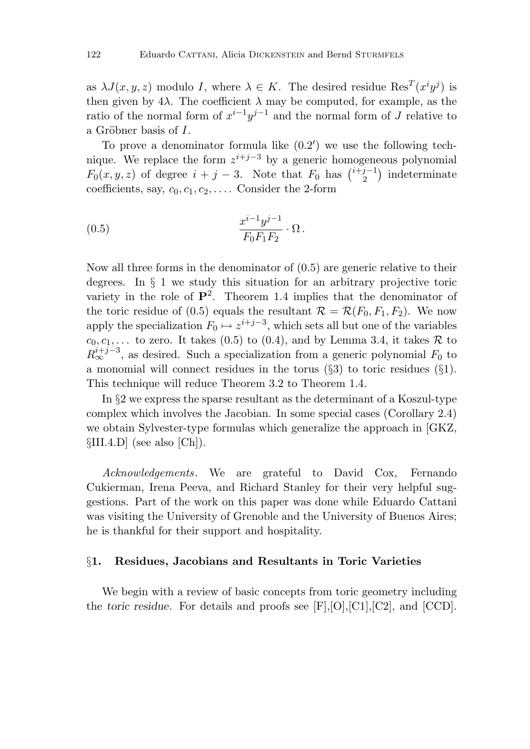as  $\lambda J(x, y, z)$  modulo *I*, where  $\lambda \in K$ . The desired residue  $\text{Res}^{T}(x^{i}y^{j})$  is then given by  $4\lambda$ . The coefficient  $\lambda$  may be computed, for example, as the ratio of the normal form of  $x^{i-1}y^{j-1}$  and the normal form of *J* relative to a Gröbner basis of *I*.

To prove a denominator formula like  $(0.2')$  we use the following technique. We replace the form  $z^{i+j-3}$  by a generic homogeneous polynomial  $F_0(x, y, z)$  of degree  $i + j - 3$ . Note that  $F_0$  has  $\binom{i+j-1}{2}$  indeterminate coefficients, say,  $c_0, c_1, c_2, \ldots$ . Consider the 2-form

(0.5) 
$$
\frac{x^{i-1}y^{j-1}}{F_0F_1F_2} \cdot \Omega.
$$

Now all three forms in the denominator of (0.5) are generic relative to their degrees. In § 1 we study this situation for an arbitrary projective toric variety in the role of  $\mathbf{P}^2$ . Theorem 1.4 implies that the denominator of the toric residue of (0.5) equals the resultant  $\mathcal{R} = \mathcal{R}(F_0, F_1, F_2)$ . We now apply the specialization  $F_0 \mapsto z^{i+j-3}$ , which sets all but one of the variables  $c_0, c_1, \ldots$  to zero. It takes (0.5) to (0.4), and by Lemma 3.4, it takes  $\mathcal R$  to  $R_{\infty}^{i+j-3}$ , as desired. Such a specialization from a generic polynomial  $F_0$  to a monomial will connect residues in the torus  $(\S3)$  to toric residues  $(\S1)$ . This technique will reduce Theorem 3.2 to Theorem 1.4.

In §2 we express the sparse resultant as the determinant of a Koszul-type complex which involves the Jacobian. In some special cases (Corollary 2.4) we obtain Sylvester-type formulas which generalize the approach in [GKZ, §III.4.D] (see also [Ch]).

Acknowledgements. We are grateful to David Cox, Fernando Cukierman, Irena Peeva, and Richard Stanley for their very helpful suggestions. Part of the work on this paper was done while Eduardo Cattani was visiting the University of Grenoble and the University of Buenos Aires; he is thankful for their support and hospitality.

### §**1. Residues, Jacobians and Resultants in Toric Varieties**

We begin with a review of basic concepts from toric geometry including the *toric residue*. For details and proofs see [F],[O],[C1],[C2], and [CCD].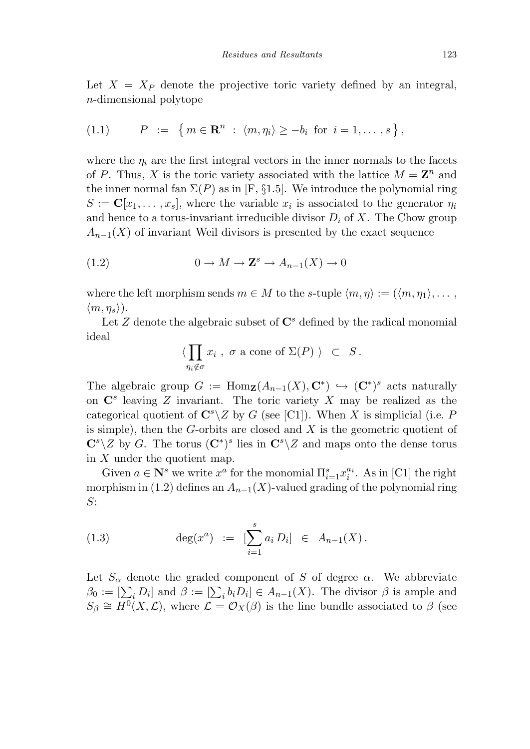Let  $X = X_P$  denote the projective toric variety defined by an integral, *n*-dimensional polytope

(1.1) 
$$
P := \{ m \in \mathbb{R}^n : \langle m, \eta_i \rangle \ge -b_i \text{ for } i = 1, ..., s \},
$$

where the  $\eta_i$  are the first integral vectors in the inner normals to the facets of *P*. Thus, *X* is the toric variety associated with the lattice  $M = \mathbb{Z}^n$  and the inner normal fan  $\Sigma(P)$  as in [F, §1.5]. We introduce the polynomial ring  $S := \mathbf{C}[x_1, \ldots, x_s]$ , where the variable  $x_i$  is associated to the generator  $\eta_i$ and hence to a torus-invariant irreducible divisor  $D_i$  of  $X$ . The Chow group  $A_{n-1}(X)$  of invariant Weil divisors is presented by the exact sequence

(1.2) 
$$
0 \to M \to \mathbf{Z}^s \to A_{n-1}(X) \to 0
$$

where the left morphism sends  $m \in M$  to the *s*-tuple  $\langle m, \eta \rangle := (\langle m, \eta_1 \rangle, \dots, \eta_n)$  $\langle m, \eta_s \rangle$ ).

Let  $Z$  denote the algebraic subset of  $\mathbb{C}^s$  defined by the radical monomial ideal

$$
\langle \prod_{\eta_i \notin \sigma} x_i , \sigma \text{ a cone of } \Sigma(P) \rangle \subset S.
$$

The algebraic group  $G := \text{Hom}_{\mathbf{Z}}(A_{n-1}(X), \mathbf{C}^*) \hookrightarrow (\mathbf{C}^*)^s$  acts naturally on **C***<sup>s</sup>* leaving *Z* invariant. The toric variety *X* may be realized as the categorical quotient of  $\mathbb{C}^s \setminus Z$  by *G* (see [C1]). When *X* is simplicial (i.e. *P* is simple), then the *G*-orbits are closed and *X* is the geometric quotient of  $\mathbb{C}^s \setminus Z$  by *G*. The torus  $(\mathbb{C}^*)^s$  lies in  $\mathbb{C}^s \setminus Z$  and maps onto the dense torus in *X* under the quotient map.

Given  $a \in \mathbb{N}^s$  we write  $x^a$  for the monomial  $\prod_{i=1}^s x_i^{a_i}$ . As in [C1] the right morphism in (1.2) defines an  $A_{n-1}(X)$ -valued grading of the polynomial ring *S*:

(1.3) 
$$
\deg(x^a) := \left[\sum_{i=1}^s a_i D_i\right] \in A_{n-1}(X).
$$

Let  $S_\alpha$  denote the graded component of *S* of degree  $\alpha$ . We abbreviate  $\beta_0 := \left[\sum_i D_i\right]$  and  $\beta := \left[\sum_i b_i D_i\right] \in A_{n-1}(X)$ . The divisor  $\beta$  is ample and  $S_\beta \cong H^0(X, \mathcal{L})$ , where  $\mathcal{L} = \mathcal{O}_X(\beta)$  is the line bundle associated to  $\beta$  (see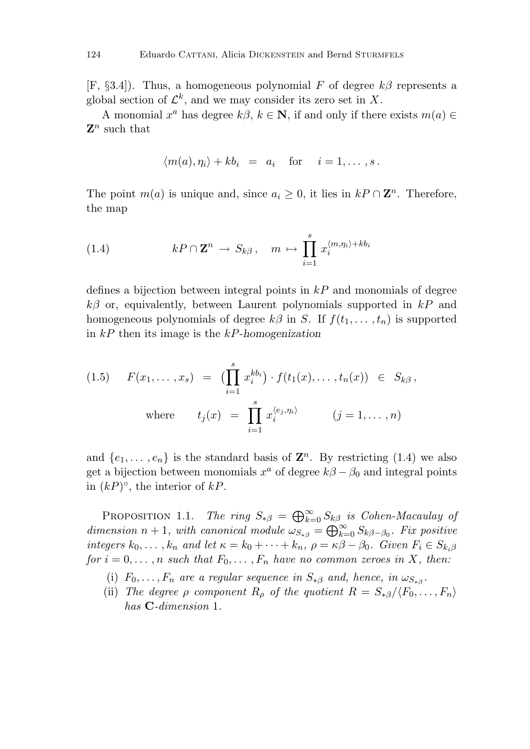[F, §3.4]). Thus, a homogeneous polynomial *F* of degree *kβ* represents a global section of  $\mathcal{L}^k$ , and we may consider its zero set in X.

A monomial  $x^a$  has degree  $k\beta$ ,  $k \in \mathbb{N}$ , if and only if there exists  $m(a) \in$ **Z***<sup>n</sup>* such that

$$
\langle m(a), \eta_i \rangle + k b_i = a_i \quad \text{for} \quad i = 1, \ldots, s \, .
$$

The point  $m(a)$  is unique and, since  $a_i \geq 0$ , it lies in  $kP \cap \mathbb{Z}^n$ . Therefore, the map

(1.4) 
$$
kP \cap \mathbf{Z}^n \to S_{k\beta}, \quad m \mapsto \prod_{i=1}^s x_i^{\langle m, \eta_i \rangle + kb_i}
$$

defines a bijection between integral points in *kP* and monomials of degree *kβ* or, equivalently, between Laurent polynomials supported in *kP* and homogeneous polynomials of degree  $k\beta$  in *S*. If  $f(t_1, \ldots, t_n)$  is supported in *kP* then its image is the *kP*-*homogenization*

(1.5) 
$$
F(x_1, ..., x_s) = \left(\prod_{i=1}^s x_i^{kb_i}\right) \cdot f(t_1(x), ..., t_n(x)) \in S_{k\beta},
$$
  
where  $t_j(x) = \prod_{i=1}^s x_i^{\langle e_j, \eta_i \rangle} \qquad (j = 1, ..., n)$ 

and  $\{e_1, \ldots, e_n\}$  is the standard basis of  $\mathbb{Z}^n$ . By restricting (1.4) we also get a bijection between monomials  $x^a$  of degree  $k\beta - \beta_0$  and integral points in (*kP*)◦, the interior of *kP*.

PROPOSITION 1.1. The ring  $S_{*\beta} = \bigoplus_{k=0}^{\infty} S_{k\beta}$  is Cohen-Macaulay of dimension  $n + 1$ , with canonical module  $\omega_{S_{*}\beta} = \bigoplus_{k=0}^{\infty} S_{k\beta-\beta_0}$ . Fix positive integers  $k_0, \ldots, k_n$  and let  $\kappa = k_0 + \cdots + k_n$ ,  $\rho = \kappa \beta - \beta_0$ . Given  $F_i \in S_{k_i \beta}$ for  $i = 0, \ldots, n$  such that  $F_0, \ldots, F_n$  have no common zeroes in X, then:

- (i)  $F_0, \ldots, F_n$  are a regular sequence in  $S_{\ast \beta}$  and, hence, in  $\omega_{S_{\ast \beta}}$ .
- (ii) The degree  $\rho$  component  $R_\rho$  of the quotient  $R = S_{\gamma\beta}/\langle F_0,\ldots,F_n\rangle$ has **C**-dimension 1.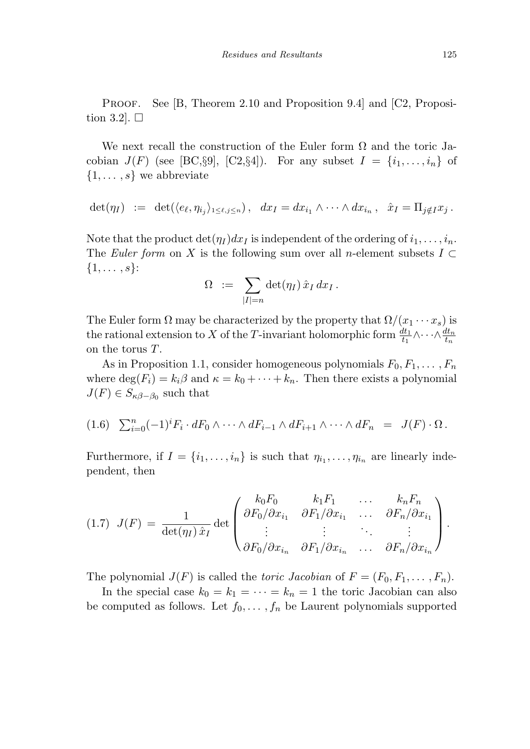PROOF. See [B, Theorem 2.10 and Proposition 9.4] and [C2, Proposition 3.2].  $\Box$ 

We next recall the construction of the Euler form  $\Omega$  and the toric Jacobian  $J(F)$  (see [BC, §9], [C2, §4]). For any subset  $I = \{i_1, \ldots, i_n\}$  of {1*,... ,s*} we abbreviate

$$
\det(\eta_I) \ := \ \det(\langle e_\ell, \eta_{i_j} \rangle_{1 \leq \ell, j \leq n}), \quad dx_I = dx_{i_1} \wedge \cdots \wedge dx_{i_n}, \quad \hat{x}_I = \Pi_{j \notin I} x_j \, .
$$

Note that the product  $\det(\eta_I)dx_I$  is independent of the ordering of  $i_1,\ldots,i_n$ . The Euler form on *X* is the following sum over all *n*-element subsets  $I \subset$ {1*,... ,s*}:

$$
\Omega \; := \; \sum_{|I|=n} \det(\eta_I) \, \hat{x}_I \, dx_I \, .
$$

The Euler form  $\Omega$  may be characterized by the property that  $\Omega/(x_1 \cdots x_s)$  is the rational extension to *X* of the *T*-invariant holomorphic form  $\frac{dt_1}{t_1} \wedge \cdots \wedge \frac{dt_n}{t_n}$ on the torus *T*.

As in Proposition 1.1, consider homogeneous polynomials  $F_0, F_1, \ldots, F_n$ where  $\deg(F_i) = k_i \beta$  and  $\kappa = k_0 + \cdots + k_n$ . Then there exists a polynomial  $J(F) \in S_{\kappa\beta-\beta_0}$  such that

$$
(1.6)\quad \sum_{i=0}^n (-1)^i F_i \cdot dF_0 \wedge \cdots \wedge dF_{i-1} \wedge dF_{i+1} \wedge \cdots \wedge dF_n \quad = \quad J(F) \cdot \Omega \, .
$$

Furthermore, if  $I = \{i_1, \ldots, i_n\}$  is such that  $\eta_{i_1}, \ldots, \eta_{i_n}$  are linearly independent, then

$$
(1.7) \ \ J(F) = \frac{1}{\det(\eta_I)\,\hat{x}_I} \det \begin{pmatrix} k_0F_0 & k_1F_1 & \dots & k_nF_n \\ \partial F_0/\partial x_{i_1} & \partial F_1/\partial x_{i_1} & \dots & \partial F_n/\partial x_{i_1} \\ \vdots & \vdots & \ddots & \vdots \\ \partial F_0/\partial x_{i_n} & \partial F_1/\partial x_{i_n} & \dots & \partial F_n/\partial x_{i_n} \end{pmatrix}.
$$

The polynomial  $J(F)$  is called the toric Jacobian of  $F = (F_0, F_1, \ldots, F_n)$ .

In the special case  $k_0 = k_1 = \cdots = k_n = 1$  the toric Jacobian can also be computed as follows. Let  $f_0, \ldots, f_n$  be Laurent polynomials supported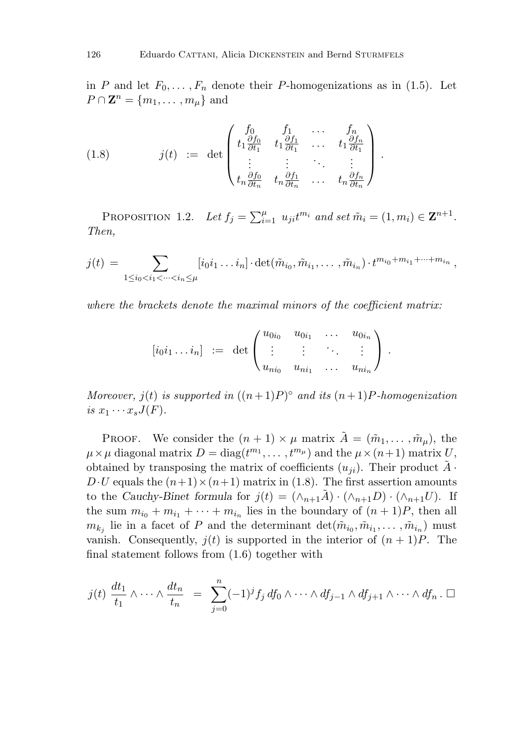in *P* and let  $F_0, \ldots, F_n$  denote their *P*-homogenizations as in (1.5). Let  $P \cap \mathbf{Z}^n = \{m_1, \ldots, m_\mu\}$  and

(1.8) 
$$
j(t) := \det \begin{pmatrix} f_0 & f_1 & \cdots & f_n \\ t_1 \frac{\partial f_0}{\partial t_1} & t_1 \frac{\partial f_1}{\partial t_1} & \cdots & t_1 \frac{\partial f_n}{\partial t_1} \\ \vdots & \vdots & \ddots & \vdots \\ t_n \frac{\partial f_0}{\partial t_n} & t_n \frac{\partial f_1}{\partial t_n} & \cdots & t_n \frac{\partial f_n}{\partial t_n} \end{pmatrix}.
$$

PROPOSITION 1.2. Let  $f_j = \sum_{i=1}^{\mu} u_{ji} t^{m_i}$  and set  $\tilde{m}_i = (1, m_i) \in \mathbf{Z}^{n+1}$ . Then,

$$
j(t) = \sum_{1 \leq i_0 < i_1 < \dots < i_n \leq \mu} [i_0 i_1 \dots i_n] \cdot \det(\tilde{m}_{i_0}, \tilde{m}_{i_1}, \dots, \tilde{m}_{i_n}) \cdot t^{m_{i_0} + m_{i_1} + \dots + m_{i_n}},
$$

where the brackets denote the maximal minors of the coefficient matrix:

$$
[i_0i_1 \dots i_n] \; := \; \det \begin{pmatrix} u_{0i_0} & u_{0i_1} & \dots & u_{0i_n} \\ \vdots & \vdots & \ddots & \vdots \\ u_{ni_0} & u_{ni_1} & \dots & u_{ni_n} \end{pmatrix} \, .
$$

Moreover,  $j(t)$  is supported in  $((n+1)P)^\circ$  and its  $(n+1)P$ -homogenization is  $x_1 \cdots x_s J(F)$ .

PROOF. We consider the  $(n + 1) \times \mu$  matrix  $\tilde{A} = (\tilde{m}_1, \ldots, \tilde{m}_\mu)$ , the  $\mu \times \mu$  diagonal matrix  $D = \text{diag}(t^{m_1}, \ldots, t^{m_\mu})$  and the  $\mu \times (n+1)$  matrix *U*, obtained by transposing the matrix of coefficients  $(u_{ii})$ . Their product  $A \cdot$  $D \cdot U$  equals the  $(n+1) \times (n+1)$  matrix in (1.8). The first assertion amounts to the *Cauchy-Binet formula* for  $j(t)=(\wedge_{n+1}\tilde{A})\cdot(\wedge_{n+1}D)\cdot(\wedge_{n+1}U)$ . If the sum  $m_{i_0} + m_{i_1} + \cdots + m_{i_n}$  lies in the boundary of  $(n + 1)P$ , then all  $m_{k_i}$  lie in a facet of *P* and the determinant  $\det(\tilde{m}_{i_0}, \tilde{m}_{i_1}, \ldots, \tilde{m}_{i_n})$  must vanish. Consequently,  $j(t)$  is supported in the interior of  $(n + 1)P$ . The final statement follows from (1.6) together with

$$
j(t) \frac{dt_1}{t_1} \wedge \cdots \wedge \frac{dt_n}{t_n} = \sum_{j=0}^n (-1)^j f_j \, df_0 \wedge \cdots \wedge df_{j-1} \wedge df_{j+1} \wedge \cdots \wedge df_n \, . \, \Box
$$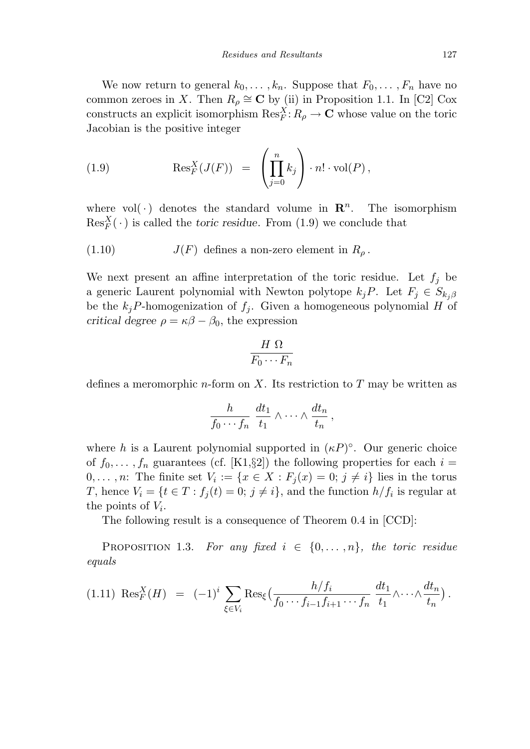We now return to general  $k_0, \ldots, k_n$ . Suppose that  $F_0, \ldots, F_n$  have no common zeroes in *X*. Then  $R_\rho \cong \mathbb{C}$  by (ii) in Proposition 1.1. In [C2] Cox constructs an explicit isomorphism  $\text{Res}_{F}^{X}: R_{\rho} \to \mathbb{C}$  whose value on the toric Jacobian is the positive integer

(1.9) 
$$
\operatorname{Res}_F^X(J(F)) = \left(\prod_{j=0}^n k_j\right) \cdot n! \cdot \operatorname{vol}(P),
$$

where vol( $\cdot$ ) denotes the standard volume in  $\mathbb{R}^n$ . The isomorphism  $\text{Res}_{F}^{X}(\cdot)$  is called the *toric residue*. From (1.9) we conclude that

(1.10) 
$$
J(F)
$$
 defines a non-zero element in  $R_{\rho}$ .

We next present an affine interpretation of the toric residue. Let  $f_i$  be a generic Laurent polynomial with Newton polytope  $k_j P$ . Let  $F_j \in S_{k_j \beta}$ be the  $k_jP$ -homogenization of  $f_j$ . Given a homogeneous polynomial *H* of *critical degree*  $\rho = \kappa \beta - \beta_0$ , the expression

$$
\frac{H\ \Omega}{F_0\cdots F_n}
$$

defines a meromorphic *n*-form on *X*. Its restriction to *T* may be written as

$$
\frac{h}{f_0\cdots f_n}\,\frac{dt_1}{t_1}\wedge\cdots\wedge\frac{dt_n}{t_n}\,,
$$

where *h* is a Laurent polynomial supported in  $(\kappa P)^\circ$ . Our generic choice of  $f_0, \ldots, f_n$  guarantees (cf. [K1,§2]) the following properties for each  $i =$ 0,..., *n*: The finite set  $V_i := \{x \in X : F_i(x) = 0; j \neq i\}$  lies in the torus *T*, hence  $V_i = \{t \in T : f_j(t) = 0; j \neq i\}$ , and the function  $h/f_i$  is regular at the points of *Vi*.

The following result is a consequence of Theorem 0.4 in [CCD]:

PROPOSITION 1.3. For any fixed  $i \in \{0, ..., n\}$ , the toric residue equals

$$
(1.11) \ \text{Res}_{F}^{X}(H) = (-1)^{i} \sum_{\xi \in V_{i}} \text{Res}_{\xi} \left( \frac{h/f_{i}}{f_{0} \cdots f_{i-1} f_{i+1} \cdots f_{n}} \frac{dt_{1}}{t_{1}} \wedge \cdots \wedge \frac{dt_{n}}{t_{n}} \right).
$$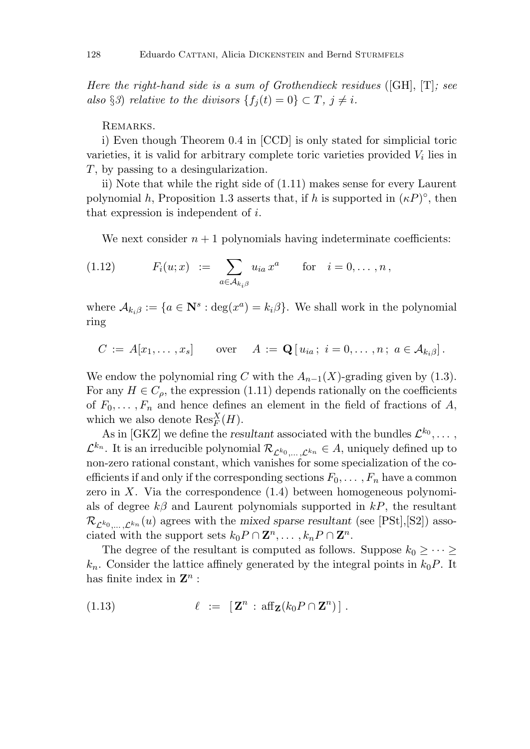Here the right-hand side is a sum of Grothendieck residues ([GH],  $[T]$ ; see also §3) relative to the divisors  ${f_i(t) = 0} \subset T, j \neq i$ .

REMARKS.

i) Even though Theorem 0.4 in [CCD] is only stated for simplicial toric varieties, it is valid for arbitrary complete toric varieties provided *V<sup>i</sup>* lies in *T*, by passing to a desingularization.

ii) Note that while the right side of (1.11) makes sense for every Laurent polynomial *h*, Proposition 1.3 asserts that, if *h* is supported in  $(\kappa P)^\circ$ , then that expression is independent of *i*.

We next consider  $n+1$  polynomials having indeterminate coefficients:

(1.12) 
$$
F_i(u; x) := \sum_{a \in A_{k_i, \beta}} u_{ia} x^a \quad \text{for} \quad i = 0, ..., n,
$$

where  $A_{k_i\beta} := \{a \in \mathbb{N}^s : \deg(x^a) = k_i\beta\}$ . We shall work in the polynomial ring

$$
C := A[x_1, \ldots, x_s] \quad \text{over } A := \mathbf{Q}[u_{ia}; i = 0, \ldots, n; a \in A_{k_i} \,].
$$

We endow the polynomial ring *C* with the  $A_{n-1}(X)$ -grading given by (1.3). For any  $H \in C_\rho$ , the expression (1.11) depends rationally on the coefficients of  $F_0, \ldots, F_n$  and hence defines an element in the field of fractions of A, which we also denote  $\text{Res}_{F}^{X}(H)$ .

As in [GKZ] we define the *resultant* associated with the bundles  $\mathcal{L}^{k_0}, \ldots$ ,  $\mathcal{L}^{k_n}$ . It is an irreducible polynomial  $\mathcal{R}_{\mathcal{L}^{k_0}$  *,...*  $\mathcal{L}^{k_n} \in A$ , uniquely defined up to non-zero rational constant, which vanishes for some specialization of the coefficients if and only if the corresponding sections  $F_0, \ldots, F_n$  have a common zero in *X*. Via the correspondence (1.4) between homogeneous polynomials of degree *kβ* and Laurent polynomials supported in *kP*, the resultant  $\mathcal{R}_{\mathcal{L}^{k_0},\ldots,\mathcal{L}^{k_n}}(u)$  agrees with the *mixed sparse resultant* (see [PSt], [S2]) associated with the support sets  $k_0 P \cap \mathbf{Z}^n, \ldots, k_n P \cap \mathbf{Z}^n$ .

The degree of the resultant is computed as follows. Suppose  $k_0 \geq \cdots \geq$  $k_n$ . Consider the lattice affinely generated by the integral points in  $k_0P$ . It has finite index in **Z***<sup>n</sup>* :

(1.13) 
$$
\ell := [\mathbf{Z}^n : \mathrm{aff}_{\mathbf{Z}}(k_0 P \cap \mathbf{Z}^n)] .
$$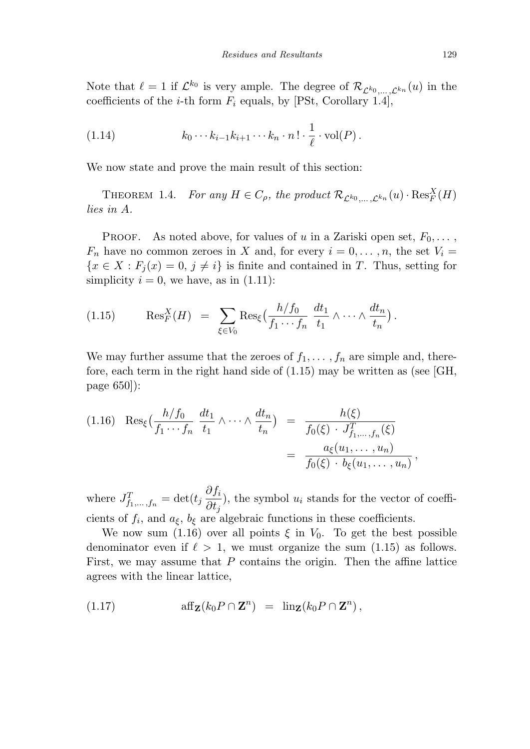Note that  $\ell = 1$  if  $\mathcal{L}^{k_0}$  is very ample. The degree of  $\mathcal{R}_{\mathcal{L}^{k_0},\ldots,\mathcal{L}^{k_n}}(u)$  in the coefficients of the *i*-th form  $F_i$  equals, by [PSt, Corollary 1.4],

(1.14) 
$$
k_0 \cdots k_{i-1} k_{i+1} \cdots k_n \cdot n! \cdot \frac{1}{\ell} \cdot \text{vol}(P).
$$

We now state and prove the main result of this section:

THEOREM 1.4. For any  $H \in C_{\rho}$ , the product  $\mathcal{R}_{\mathcal{L}^{k_0}, \dots, \mathcal{L}^{k_n}}(u) \cdot \text{Res}_F^X(H)$ lies in *A*.

PROOF. As noted above, for values of *u* in a Zariski open set,  $F_0, \ldots$ ,  $F_n$  have no common zeroes in *X* and, for every  $i = 0, \ldots, n$ , the set  $V_i =$  ${x \in X : F_j(x) = 0, j \neq i}$  is finite and contained in *T*. Thus, setting for simplicity  $i = 0$ , we have, as in  $(1.11)$ :

$$
(1.15) \qquad \operatorname{Res}_F^X(H) \ = \ \sum_{\xi \in V_0} \operatorname{Res}_{\xi} \left( \frac{h/f_0}{f_1 \cdots f_n} \, \frac{dt_1}{t_1} \wedge \cdots \wedge \frac{dt_n}{t_n} \right).
$$

We may further assume that the zeroes of  $f_1, \ldots, f_n$  are simple and, therefore, each term in the right hand side of (1.15) may be written as (see [GH, page 650]):

$$
(1.16) \operatorname{Res}_{\xi} \left( \frac{h/f_0}{f_1 \cdots f_n} \frac{dt_1}{t_1} \wedge \cdots \wedge \frac{dt_n}{t_n} \right) = \frac{h(\xi)}{f_0(\xi) \cdot J_{f_1, \dots, f_n}^T(\xi)} = \frac{a_{\xi}(u_1, \dots, u_n)}{f_0(\xi) \cdot b_{\xi}(u_1, \dots, u_n)},
$$

where  $J_{f_1,\dots,f_n}^T = \det(t_j \frac{\partial f_i}{\partial t_j})$  $\frac{\partial f_i}{\partial t_j}$ , the symbol *u<sub>i</sub>* stands for the vector of coefficients of  $f_i$ , and  $a_{\xi}$ ,  $b_{\xi}$  are algebraic functions in these coefficients.

We now sum (1.16) over all points  $\xi$  in  $V_0$ . To get the best possible denominator even if  $\ell > 1$ , we must organize the sum  $(1.15)$  as follows. First, we may assume that *P* contains the origin. Then the affine lattice agrees with the linear lattice,

(1.17) 
$$
\operatorname{aff}_{\mathbf{Z}}(k_0 P \cap \mathbf{Z}^n) = \operatorname{lin}_{\mathbf{Z}}(k_0 P \cap \mathbf{Z}^n),
$$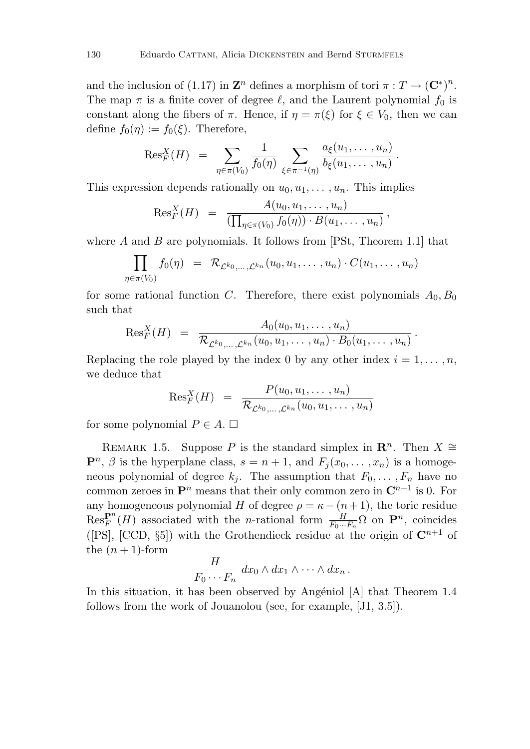and the inclusion of (1.17) in  $\mathbf{Z}^n$  defines a morphism of tori  $\pi: T \to (\mathbf{C}^*)^n$ . The map  $\pi$  is a finite cover of degree  $\ell$ , and the Laurent polynomial  $f_0$  is constant along the fibers of  $\pi$ . Hence, if  $\eta = \pi(\xi)$  for  $\xi \in V_0$ , then we can define  $f_0(\eta) := f_0(\xi)$ . Therefore,

$$
ext{Res}^X_F(H) = \sum_{\eta \in \pi(V_0)} \frac{1}{f_0(\eta)} \sum_{\xi \in \pi^{-1}(\eta)} \frac{a_{\xi}(u_1, \dots, u_n)}{b_{\xi}(u_1, \dots, u_n)}.
$$

This expression depends rationally on  $u_0, u_1, \ldots, u_n$ . This implies

$$
\text{Res}_{F}^{X}(H) = \frac{A(u_0, u_1, \dots, u_n)}{(\prod_{\eta \in \pi(V_0)} f_0(\eta)) \cdot B(u_1, \dots, u_n)}
$$

*,*

*.*

where *A* and *B* are polynomials. It follows from [PSt, Theorem 1.1] that

$$
\prod_{\eta \in \pi(V_0)} f_0(\eta) \;\; = \;\; \mathcal{R}_{\mathcal{L}^{k_0}, \ldots, \mathcal{L}^{k_n}}(u_0, u_1, \ldots \,, u_n) \cdot C(u_1, \ldots \,, u_n)
$$

for some rational function *C*. Therefore, there exist polynomials  $A_0, B_0$ such that

$$
\text{Res}_{F}^{X}(H) = \frac{A_0(u_0, u_1, \dots, u_n)}{\mathcal{R}_{\mathcal{L}^{k_0}, \dots, \mathcal{L}^{k_n}}(u_0, u_1, \dots, u_n) \cdot B_0(u_1, \dots, u_n)}
$$

Replacing the role played by the index 0 by any other index  $i = 1, \ldots, n$ , we deduce that

$$
\text{Res}_F^X(H) = \frac{P(u_0, u_1, \dots, u_n)}{\mathcal{R}_{\mathcal{L}^{k_0}, \dots, \mathcal{L}^{k_n}}(u_0, u_1, \dots, u_n)}
$$

for some polynomial  $P \in A$ .  $\Box$ 

REMARK 1.5. Suppose *P* is the standard simplex in  $\mathbb{R}^n$ . Then  $X \cong$  $\mathbf{P}^n$ ,  $\beta$  is the hyperplane class,  $s = n + 1$ , and  $F_i(x_0, \ldots, x_n)$  is a homogeneous polynomial of degree  $k_j$ . The assumption that  $F_0, \ldots, F_n$  have no common zeroes in  $\mathbf{P}^n$  means that their only common zero in  $\mathbf{C}^{n+1}$  is 0. For any homogeneous polynomial *H* of degree  $\rho = \kappa - (n+1)$ , the toric residue  $\text{Res}_{F}^{\mathbf{P}^{n}}(H)$  associated with the *n*-rational form  $\frac{H}{F_{0}\cdots F_{n}}\Omega$  on  $\mathbf{P}^{n}$ , coincides ([PS], [CCD,  $\S5$ ]) with the Grothendieck residue at the origin of  $\mathbb{C}^{n+1}$  of the  $(n + 1)$ -form  $H$ <sup> $\bar{H}$ </sup>

$$
\frac{H}{F_0\cdots F_n} dx_0 \wedge dx_1 \wedge \cdots \wedge dx_n.
$$

In this situation, it has been observed by Angéniol  $|A|$  that Theorem 1.4 follows from the work of Jouanolou (see, for example, [J1, 3.5]).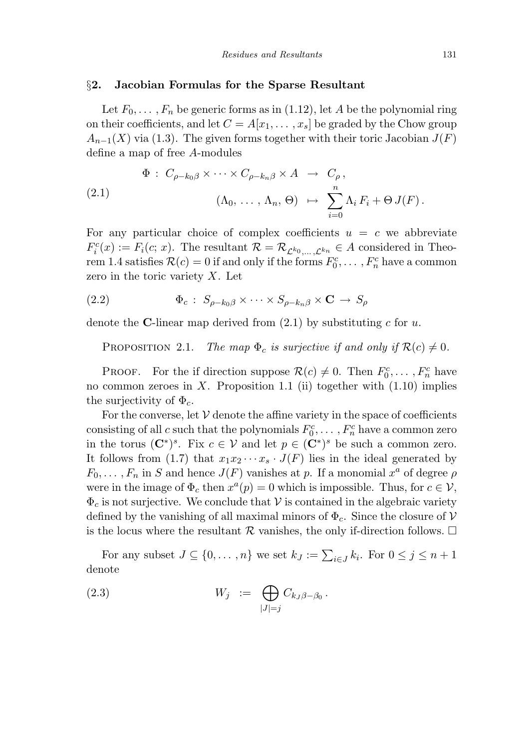### §**2. Jacobian Formulas for the Sparse Resultant**

Let  $F_0, \ldots, F_n$  be generic forms as in (1.12), let A be the polynomial ring on their coefficients, and let  $C = A[x_1, \ldots, x_s]$  be graded by the Chow group  $A_{n-1}(X)$  via (1.3). The given forms together with their toric Jacobian  $J(F)$ define a map of free *A*-modules

(2.1) 
$$
\Phi: C_{\rho-k_0\beta} \times \cdots \times C_{\rho-k_n\beta} \times A \rightarrow C_{\rho},
$$

$$
(\Lambda_0, \ldots, \Lambda_n, \Theta) \mapsto \sum_{i=0}^n \Lambda_i F_i + \Theta J(F).
$$

For any particular choice of complex coefficients  $u = c$  we abbreviate  $F_i^c(x) := F_i(c; x)$ . The resultant  $\mathcal{R} = \mathcal{R}_{\mathcal{L}^{k_0}, \dots, \mathcal{L}^{k_n}} \in A$  considered in Theorem 1.4 satisfies  $\mathcal{R}(c) = 0$  if and only if the forms  $F_0^c, \ldots, F_n^c$  have a common zero in the toric variety *X*. Let

(2.2) 
$$
\Phi_c: S_{\rho-k_0\beta} \times \cdots \times S_{\rho-k_n\beta} \times \mathbf{C} \to S_{\rho}
$$

denote the **C**-linear map derived from (2.1) by substituting *c* for *u*.

PROPOSITION 2.1. The map  $\Phi_c$  is surjective if and only if  $\mathcal{R}(c) \neq 0$ .

PROOF. For the if direction suppose  $\mathcal{R}(c) \neq 0$ . Then  $F_0^c, \ldots, F_n^c$  have no common zeroes in *X*. Proposition 1.1 (ii) together with (1.10) implies the surjectivity of Φ*c*.

For the converse, let  $V$  denote the affine variety in the space of coefficients consisting of all *c* such that the polynomials  $F_0^c, \ldots, F_n^c$  have a common zero in the torus  $(\mathbf{C}^*)^s$ . Fix  $c \in \mathcal{V}$  and let  $p \in (\mathbf{C}^*)^s$  be such a common zero. It follows from (1.7) that  $x_1x_2 \cdots x_s \cdot J(F)$  lies in the ideal generated by  $F_0, \ldots, F_n$  in *S* and hence  $J(F)$  vanishes at *p*. If a monomial  $x^a$  of degree  $\rho$ were in the image of  $\Phi_c$  then  $x^a(p) = 0$  which is impossible. Thus, for  $c \in \mathcal{V}$ ,  $\Phi_c$  is not surjective. We conclude that  $\mathcal V$  is contained in the algebraic variety defined by the vanishing of all maximal minors of  $\Phi_c$ . Since the closure of V is the locus where the resultant  $\mathcal R$  vanishes, the only if-direction follows.  $\Box$ 

For any subset  $J \subseteq \{0, \ldots, n\}$  we set  $k_J := \sum_{i \in J} k_i$ . For  $0 \leq j \leq n+1$ denote

$$
(2.3) \t\t W_j := \bigoplus_{|J|=j} C_{k_J \beta - \beta_0}.
$$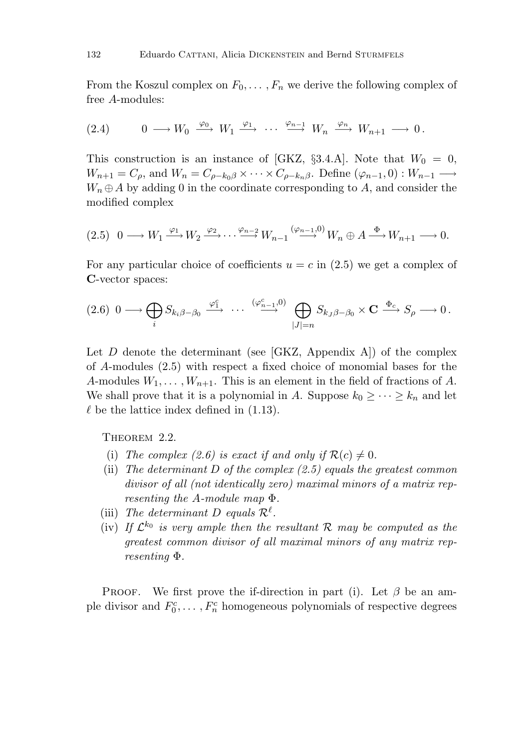From the Koszul complex on  $F_0, \ldots, F_n$  we derive the following complex of free *A*-modules:

$$
(2.4) \t 0 \longrightarrow W_0 \xrightarrow{\varphi_0} W_1 \xrightarrow{\varphi_1} \cdots \xrightarrow{\varphi_{n-1}} W_n \xrightarrow{\varphi_n} W_{n+1} \longrightarrow 0.
$$

This construction is an instance of [GKZ, §3.4.A]. Note that  $W_0 = 0$ ,  $W_{n+1} = C_\rho$ , and  $W_n = C_{\rho - k_0\beta} \times \cdots \times C_{\rho - k_n\beta}$ . Define  $(\varphi_{n-1}, 0) : W_{n-1} \longrightarrow$  $W_n \oplus A$  by adding 0 in the coordinate corresponding to A, and consider the modified complex

$$
(2.5) \quad 0 \longrightarrow W_1 \xrightarrow{\varphi_1} W_2 \xrightarrow{\varphi_2} \cdots \xrightarrow{\varphi_{n-2}} W_{n-1} \xrightarrow{(\varphi_{n-1}, 0)} W_n \oplus A \xrightarrow{\Phi} W_{n+1} \longrightarrow 0.
$$

For any particular choice of coefficients  $u = c$  in (2.5) we get a complex of **C**-vector spaces:

$$
(2.6) \ 0 \longrightarrow \bigoplus_i S_{k_i \beta - \beta_0} \stackrel{\varphi_1^c}{\longrightarrow} \cdots \stackrel{(\varphi_{n-1}^c, 0)}{\longrightarrow} \bigoplus_{|J|=n} S_{k_J \beta - \beta_0} \times \mathbf{C} \stackrel{\Phi_c}{\longrightarrow} S_{\rho} \longrightarrow 0.
$$

Let  $D$  denote the determinant (see [GKZ, Appendix A]) of the complex of *A*-modules (2.5) with respect a fixed choice of monomial bases for the *A*-modules  $W_1, \ldots, W_{n+1}$ . This is an element in the field of fractions of *A*. We shall prove that it is a polynomial in *A*. Suppose  $k_0 \geq \cdots \geq k_n$  and let  $\ell$  be the lattice index defined in  $(1.13)$ .

THEOREM 2.2.

- (i) The complex (2.6) is exact if and only if  $\mathcal{R}(c) \neq 0$ .
- (ii) The determinant  $D$  of the complex  $(2.5)$  equals the greatest common divisor of all (not identically zero) maximal minors of a matrix representing the *A*-module map Φ.
- (iii) The determinant D equals  $\mathcal{R}^{\ell}$ .
- (iv) If  $\mathcal{L}^{k_0}$  is very ample then the resultant R may be computed as the greatest common divisor of all maximal minors of any matrix representing Φ.

PROOF. We first prove the if-direction in part (i). Let  $\beta$  be an ample divisor and  $F_0^c, \ldots, F_n^c$  homogeneous polynomials of respective degrees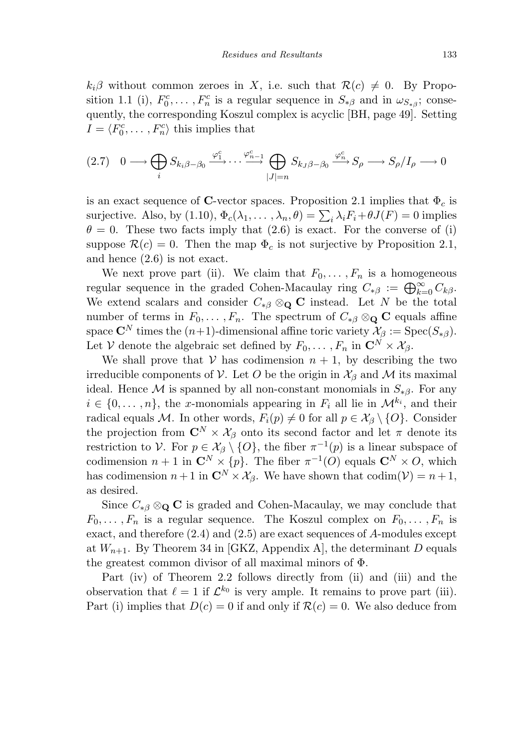$k_i\beta$  without common zeroes in *X*, i.e. such that  $\mathcal{R}(c) \neq 0$ . By Proposition 1.1 (i),  $F_0^c, \ldots, F_n^c$  is a regular sequence in  $S_{\ast\beta}$  and in  $\omega_{S_{\ast\beta}}$ ; consequently, the corresponding Koszul complex is acyclic [BH, page 49]. Setting  $I = \langle F_0^c, \dots, F_n^c \rangle$  this implies that

$$
(2.7) \quad 0 \longrightarrow \bigoplus_{i} S_{k_i \beta - \beta_0} \xrightarrow{\varphi_1^c} \cdots \xrightarrow{\varphi_{n-1}^c} \bigoplus_{|J|=n} S_{k_J \beta - \beta_0} \xrightarrow{\varphi_n^c} S_{\rho} \longrightarrow S_{\rho}/I_{\rho} \longrightarrow 0
$$

is an exact sequence of **C**-vector spaces. Proposition 2.1 implies that  $\Phi_c$  is surjective. Also, by (1.10),  $\Phi_c(\lambda_1, \ldots, \lambda_n, \theta) = \sum_i \lambda_i F_i + \theta J(F) = 0$  implies  $\theta = 0$ . These two facts imply that (2.6) is exact. For the converse of (i) suppose  $\mathcal{R}(c) = 0$ . Then the map  $\Phi_c$  is not surjective by Proposition 2.1, and hence (2.6) is not exact.

We next prove part (ii). We claim that  $F_0, \ldots, F_n$  is a homogeneous regular sequence in the graded Cohen-Macaulay ring  $C_{*\beta} := \bigoplus_{k=0}^{\infty} C_{k\beta}$ . We extend scalars and consider  $C_{\ast\beta} \otimes_{\mathbf{Q}} \mathbf{C}$  instead. Let *N* be the total number of terms in  $F_0, \ldots, F_n$ . The spectrum of  $C_{\ast \beta} \otimes_{\mathbf{Q}} \mathbf{C}$  equals affine space  $\mathbb{C}^N$  times the  $(n+1)$ -dimensional affine toric variety  $\mathcal{X}_{\beta} := \text{Spec}(S_{*\beta})$ . Let *V* denote the algebraic set defined by  $F_0, \ldots, F_n$  in  $\mathbb{C}^N \times \mathcal{X}_\beta$ .

We shall prove that  $V$  has codimension  $n + 1$ , by describing the two irreducible components of V. Let O be the origin in  $\mathcal{X}_{\beta}$  and M its maximal ideal. Hence M is spanned by all non-constant monomials in  $S_{\ast\beta}$ . For any  $i \in \{0, \ldots, n\}$ , the *x*-monomials appearing in  $F_i$  all lie in  $\mathcal{M}^{k_i}$ , and their radical equals M. In other words,  $F_i(p) \neq 0$  for all  $p \in \mathcal{X}_{\beta} \setminus \{O\}$ . Consider the projection from  $\mathbb{C}^N \times \mathcal{X}_\beta$  onto its second factor and let  $\pi$  denote its restriction to V. For  $p \in \mathcal{X}_{\beta} \setminus \{O\}$ , the fiber  $\pi^{-1}(p)$  is a linear subspace of codimension  $n + 1$  in  $\mathbb{C}^N \times \{p\}$ . The fiber  $\pi^{-1}(O)$  equals  $\mathbb{C}^N \times O$ , which has codimension  $n+1$  in  $\mathbb{C}^N \times \mathcal{X}_\beta$ . We have shown that  $\text{codim}(\mathcal{V}) = n+1$ , as desired.

Since  $C_{\ast\beta}\otimes_{\mathbf{Q}}\mathbf{C}$  is graded and Cohen-Macaulay, we may conclude that  $F_0, \ldots, F_n$  is a regular sequence. The Koszul complex on  $F_0, \ldots, F_n$  is exact, and therefore (2.4) and (2.5) are exact sequences of *A*-modules except at  $W_{n+1}$ . By Theorem 34 in [GKZ, Appendix A], the determinant *D* equals the greatest common divisor of all maximal minors of Φ.

Part (iv) of Theorem 2.2 follows directly from (ii) and (iii) and the observation that  $\ell = 1$  if  $\mathcal{L}^{k_0}$  is very ample. It remains to prove part (iii). Part (i) implies that  $D(c) = 0$  if and only if  $\mathcal{R}(c) = 0$ . We also deduce from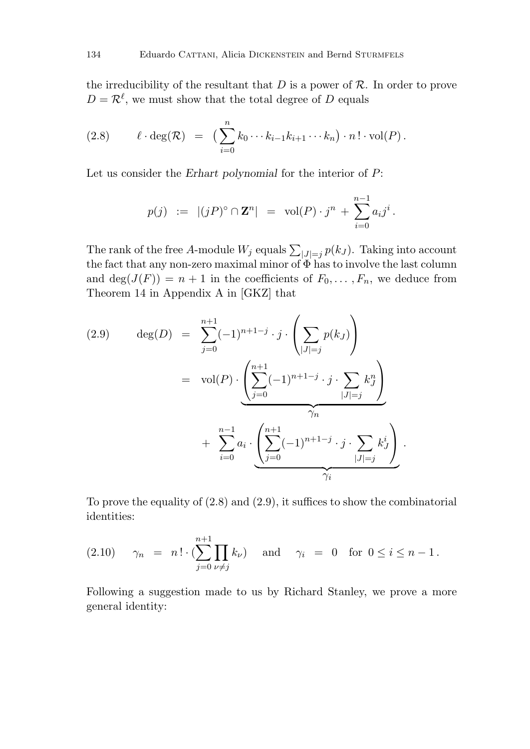the irreducibility of the resultant that  $D$  is a power of  $R$ . In order to prove  $D = \mathcal{R}^{\ell}$ , we must show that the total degree of *D* equals

(2.8) 
$$
\ell \cdot \deg(\mathcal{R}) = \left( \sum_{i=0}^n k_0 \cdots k_{i-1} k_{i+1} \cdots k_n \right) \cdot n! \cdot \text{vol}(P).
$$

Let us consider the *Erhart polynomial* for the interior of *P*:

$$
p(j) := |(jP)^{\circ} \cap \mathbf{Z}^{n}| = \text{vol}(P) \cdot j^{n} + \sum_{i=0}^{n-1} a_{i} j^{i}.
$$

The rank of the free A-module  $W_j$  equals  $\sum_{|J|=j} p(k_J)$ . Taking into account the fact that any non-zero maximal minor of  $\Phi$  has to involve the last column and  $\deg(J(F)) = n + 1$  in the coefficients of  $F_0, \ldots, F_n$ , we deduce from Theorem 14 in Appendix A in [GKZ] that

(2.9) 
$$
\deg(D) = \sum_{j=0}^{n+1} (-1)^{n+1-j} \cdot j \cdot \left(\sum_{|J|=j} p(k_J)\right)
$$

$$
= \text{vol}(P) \cdot \underbrace{\left(\sum_{j=0}^{n+1} (-1)^{n+1-j} \cdot j \cdot \sum_{|J|=j} k_J^n\right)}_{\gamma_n} + \sum_{i=0}^{n-1} a_i \cdot \underbrace{\left(\sum_{j=0}^{n+1} (-1)^{n+1-j} \cdot j \cdot \sum_{|J|=j} k_J^i\right)}_{\gamma_i}.
$$

To prove the equality of (2.8) and (2.9), it suffices to show the combinatorial identities:

(2.10) 
$$
\gamma_n = n! \cdot (\sum_{j=0}^{n+1} \prod_{\nu \neq j} k_{\nu}) \text{ and } \gamma_i = 0 \text{ for } 0 \leq i \leq n-1.
$$

Following a suggestion made to us by Richard Stanley, we prove a more general identity: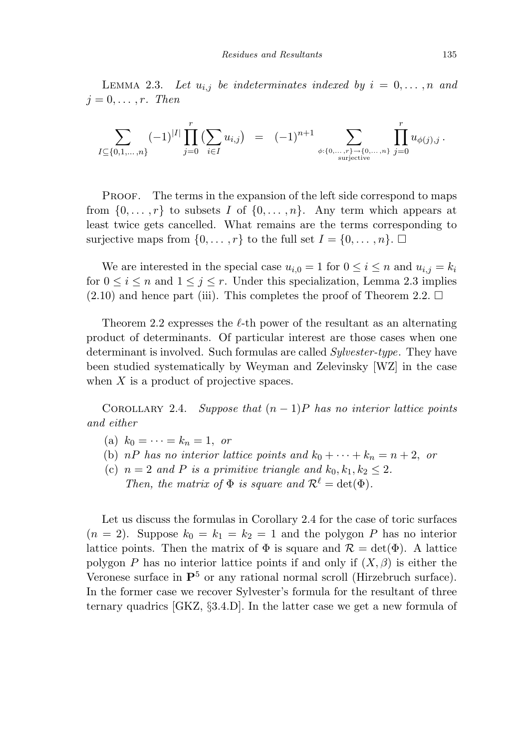LEMMA 2.3. Let  $u_{i,j}$  be indeterminates indexed by  $i = 0, \ldots, n$  and  $j = 0, \ldots, r$ . Then

$$
\sum_{I \subseteq \{0,1,\ldots,n\}} (-1)^{|I|} \prod_{j=0}^r \left( \sum_{i \in I} u_{i,j} \right) = (-1)^{n+1} \sum_{\phi:\{0,\ldots,r\} \to \{0,\ldots,n\} \atop \text{surjective}} \prod_{j=0}^r u_{\phi(j),j}.
$$

PROOF. The terms in the expansion of the left side correspond to maps from  $\{0,\ldots,r\}$  to subsets *I* of  $\{0,\ldots,n\}$ . Any term which appears at least twice gets cancelled. What remains are the terms corresponding to surjective maps from  $\{0, \ldots, r\}$  to the full set  $I = \{0, \ldots, n\}$ .

We are interested in the special case  $u_{i,0} = 1$  for  $0 \leq i \leq n$  and  $u_{i,j} = k_i$ for  $0 \le i \le n$  and  $1 \le j \le r$ . Under this specialization, Lemma 2.3 implies  $(2.10)$  and hence part (iii). This completes the proof of Theorem 2.2.  $\Box$ 

Theorem 2.2 expresses the  $\ell$ -th power of the resultant as an alternating product of determinants. Of particular interest are those cases when one determinant is involved. Such formulas are called *Sylvester-type*. They have been studied systematically by Weyman and Zelevinsky [WZ] in the case when *X* is a product of projective spaces.

COROLLARY 2.4. Suppose that  $(n-1)P$  has no interior lattice points and either

- (a)  $k_0 = \cdots = k_n = 1$ , or
- (b) *nP* has no interior lattice points and  $k_0 + \cdots + k_n = n + 2$ , or
- (c)  $n = 2$  and *P* is a primitive triangle and  $k_0, k_1, k_2 \leq 2$ . Then, the matrix of  $\Phi$  is square and  $\mathcal{R}^{\ell} = \det(\Phi)$ .

Let us discuss the formulas in Corollary 2.4 for the case of toric surfaces  $(n = 2)$ . Suppose  $k_0 = k_1 = k_2 = 1$  and the polygon P has no interior lattice points. Then the matrix of  $\Phi$  is square and  $\mathcal{R} = det(\Phi)$ . A lattice polygon *P* has no interior lattice points if and only if  $(X, \beta)$  is either the Veronese surface in **P**<sup>5</sup> or any rational normal scroll (Hirzebruch surface). In the former case we recover Sylvester's formula for the resultant of three ternary quadrics [GKZ, §3.4.D]. In the latter case we get a new formula of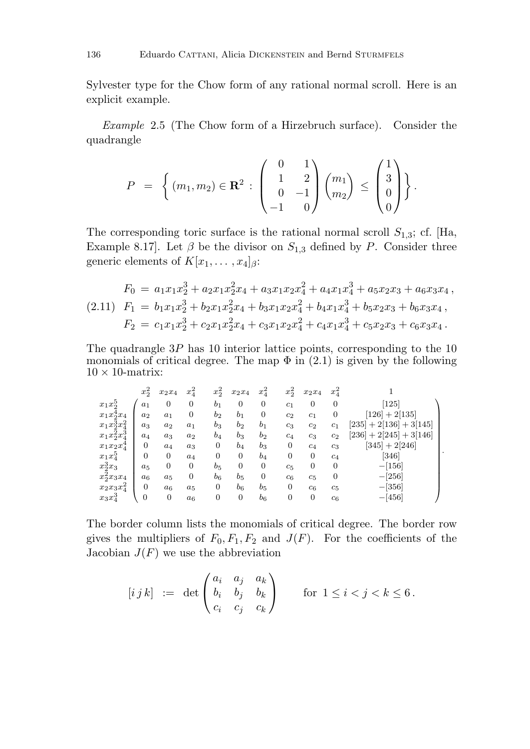Sylvester type for the Chow form of any rational normal scroll. Here is an explicit example.

Example 2.5 (The Chow form of a Hirzebruch surface). Consider the quadrangle

$$
P = \left\{ (m_1, m_2) \in \mathbf{R}^2 : \begin{pmatrix} 0 & 1 \\ 1 & 2 \\ 0 & -1 \\ -1 & 0 \end{pmatrix} \begin{pmatrix} m_1 \\ m_2 \end{pmatrix} \le \begin{pmatrix} 1 \\ 3 \\ 0 \\ 0 \end{pmatrix} \right\}.
$$

The corresponding toric surface is the rational normal scroll  $S_{1,3}$ ; cf. [Ha, Example 8.17]. Let  $\beta$  be the divisor on  $S_{1,3}$  defined by *P*. Consider three generic elements of  $K[x_1, \ldots, x_4]_{\beta}$ :

$$
F_0 = a_1x_1x_2^3 + a_2x_1x_2^2x_4 + a_3x_1x_2x_4^2 + a_4x_1x_4^3 + a_5x_2x_3 + a_6x_3x_4,
$$
  
(2.11) 
$$
F_1 = b_1x_1x_2^3 + b_2x_1x_2^2x_4 + b_3x_1x_2x_4^2 + b_4x_1x_4^3 + b_5x_2x_3 + b_6x_3x_4,
$$

$$
F_2 = c_1x_1x_2^3 + c_2x_1x_2^2x_4 + c_3x_1x_2x_4^2 + c_4x_1x_4^3 + c_5x_2x_3 + c_6x_3x_4.
$$

The quadrangle 3*P* has 10 interior lattice points, corresponding to the 10 monomials of critical degree. The map  $\Phi$  in (2.1) is given by the following  $10 \times 10$ -matrix:

|                                         | $x_2^2$          | $x_2x_4$       | $x_4^2$          | $x_2^2$        | $x_2x_4$       | $x_4^2$          | $x_2^2$        | $x_2x_4$       | $x_4^2$        |                                       |
|-----------------------------------------|------------------|----------------|------------------|----------------|----------------|------------------|----------------|----------------|----------------|---------------------------------------|
| $x_1x_2^5$                              | $a_1$            | $\overline{0}$ | $\mathbf{0}$     | b <sub>1</sub> | $\overline{0}$ | $\boldsymbol{0}$ | $c_1$          | $\overline{0}$ | $\overline{0}$ | 125                                   |
| $x_1x_2^4x_4$                           | a <sub>2</sub>   | $a_1$          | $\boldsymbol{0}$ | b <sub>2</sub> | b <sub>1</sub> | $\mathbf{0}$     | $c_2$          | $c_1$          | $\overline{0}$ | 126<br>$+2[135]$                      |
| $x_1x_2^{\bar{3}}x_4^2$                 | $a_3$            | $a_2$          | $a_1$            | $b_3$          | b <sub>2</sub> | $b_1$            | $c_3$          | c <sub>2</sub> | c <sub>1</sub> | 2[136]<br>$[235]$<br>$+3[145]$<br>$+$ |
| $\Omega$<br>$\Omega$<br>$x_1x_2^2x_4^3$ | $a_4$            | $a_3$          | $a_2$            | $b_4$          | $b_3$          | $b_2$            | $c_4$          | $c_3$          | $c_2$          | 2[245]<br>[236]<br>$+3[146]$<br>$\pm$ |
| $x_1x_2x_4^4$                           | $\overline{0}$   | $a_4$          | $a_3$            | 0              | $b_4$          | $b_3$            | 0              | $c_4$          | $c_3$          | [345]<br>$+2[246]$                    |
| $x_1x_4^5$                              | $\boldsymbol{0}$ | $\overline{0}$ | $a_4$            | 0              | $\mathbf{0}$   | $b_4$            | 0              | $\mathbf{0}$   | $c_4$          | [346]                                 |
| $x_2^3x_3$                              | $a_5$            | $\overline{0}$ | $\mathbf{0}$     | $b_5$          | $\overline{0}$ | $\mathbf{0}$     | $c_5$          | $\mathbf{0}$   | $\mathbf{0}$   | $-[156]$                              |
| $x_2^2 x_3 x_4$                         | $a_6$            | $a_5$          | $\mathbf{0}$     | $b_6$          | $b_5$          | $\overline{0}$   | $c_6$          | $c_5$          | 0              | $-[256]$                              |
| $\Omega$<br>$x_2x_3x_4^2$               | $\overline{0}$   | $a_6$          | $a_5$            | 0              | $b_6$          | $b_5$            | $\overline{0}$ | $c_6$          | $c_5$          | $-[356]$                              |
| $x_3x_4^3$                              | $\mathbf{0}$     | $\mathbf{0}$   | $a_6$            | $\mathbf 0$    | $\mathbf{0}$   | $b_6$            | $\mathbf{0}$   | $\mathbf{0}$   | $c_6$          | $-[456]$                              |

*.*

The border column lists the monomials of critical degree. The border row gives the multipliers of  $F_0, F_1, F_2$  and  $J(F)$ . For the coefficients of the Jacobian  $J(F)$  we use the abbreviation

$$
[i j k] := \det \begin{pmatrix} a_i & a_j & a_k \\ b_i & b_j & b_k \\ c_i & c_j & c_k \end{pmatrix} \quad \text{for } 1 \leq i < j < k \leq 6 \, .
$$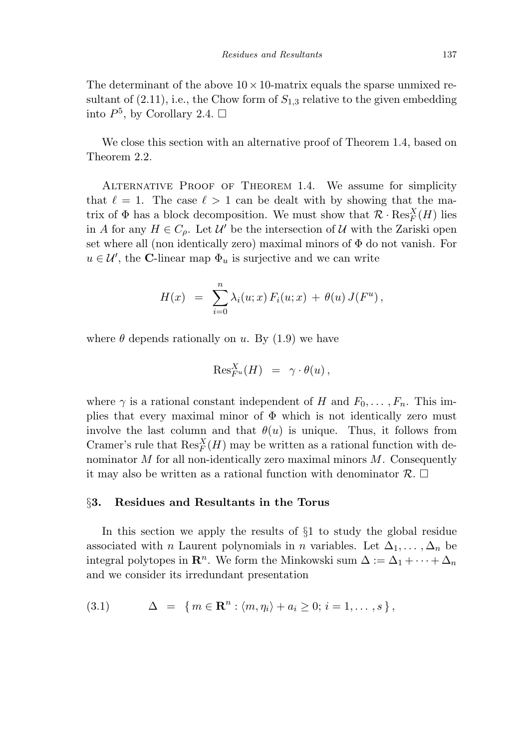The determinant of the above  $10 \times 10$ -matrix equals the sparse unmixed resultant of  $(2.11)$ , i.e., the Chow form of  $S_{1,3}$  relative to the given embedding into  $P^5$ , by Corollary 2.4.  $\Box$ 

We close this section with an alternative proof of Theorem 1.4, based on Theorem 2.2.

Alternative Proof of Theorem 1.4. We assume for simplicity that  $\ell = 1$ . The case  $\ell > 1$  can be dealt with by showing that the matrix of  $\Phi$  has a block decomposition. We must show that  $\mathcal{R} \cdot \text{Res}_{F}^X(H)$  lies in *A* for any  $H \in C_{\rho}$ . Let  $\mathcal{U}'$  be the intersection of  $\mathcal{U}$  with the Zariski open set where all (non identically zero) maximal minors of  $\Phi$  do not vanish. For  $u \in \mathcal{U}'$ , the **C**-linear map  $\Phi_u$  is surjective and we can write

$$
H(x) = \sum_{i=0}^{n} \lambda_i(u; x) F_i(u; x) + \theta(u) J(F^u),
$$

where  $\theta$  depends rationally on *u*. By (1.9) we have

$$
\mathrm{Res}^X_{F^u}(H) = \gamma \cdot \theta(u) ,
$$

where  $\gamma$  is a rational constant independent of *H* and  $F_0, \ldots, F_n$ . This implies that every maximal minor of  $\Phi$  which is not identically zero must involve the last column and that  $\theta(u)$  is unique. Thus, it follows from Cramer's rule that  $\operatorname{Res}_{F}^X(H)$  may be written as a rational function with denominator *M* for all non-identically zero maximal minors *M*. Consequently it may also be written as a rational function with denominator  $\mathcal{R}$ .  $\Box$ 

### §**3. Residues and Resultants in the Torus**

In this section we apply the results of §1 to study the global residue associated with *n* Laurent polynomials in *n* variables. Let  $\Delta_1, \ldots, \Delta_n$  be integral polytopes in  $\mathbb{R}^n$ . We form the Minkowski sum  $\Delta := \Delta_1 + \cdots + \Delta_n$ and we consider its irredundant presentation

$$
(3.1) \qquad \Delta = \{ m \in \mathbf{R}^n : \langle m, \eta_i \rangle + a_i \geq 0; i = 1, \dots, s \},
$$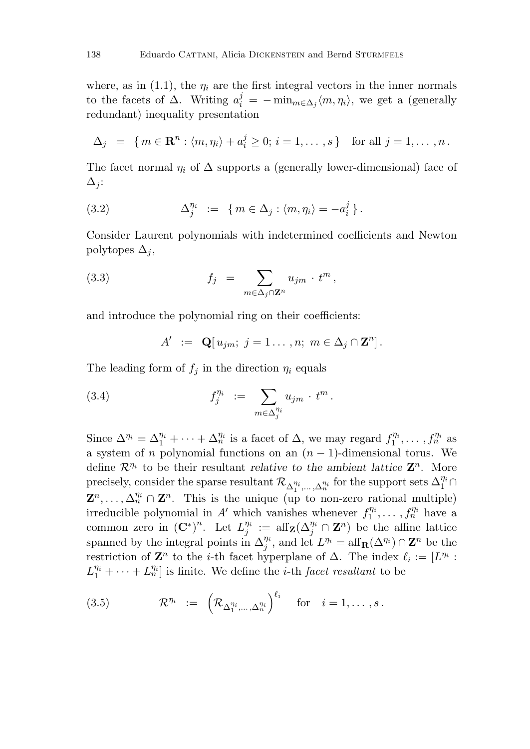where, as in  $(1.1)$ , the  $\eta_i$  are the first integral vectors in the inner normals to the facets of  $\Delta$ . Writing  $a_i^j = -\min_{m \in \Delta_j} \langle m, \eta_i \rangle$ , we get a (generally redundant) inequality presentation

$$
\Delta_j = \{ m \in \mathbf{R}^n : \langle m, \eta_i \rangle + a_i^j \geq 0; i = 1, \dots, s \} \text{ for all } j = 1, \dots, n.
$$

The facet normal  $\eta_i$  of  $\Delta$  supports a (generally lower-dimensional) face of  $\Delta$ <sub>j</sub>:

(3.2) 
$$
\Delta_j^{\eta_i} := \{ m \in \Delta_j : \langle m, \eta_i \rangle = -a_i^j \}.
$$

Consider Laurent polynomials with indetermined coefficients and Newton polytopes  $\Delta_i$ ,

(3.3) 
$$
f_j = \sum_{m \in \Delta_j \cap \mathbf{Z}^n} u_{jm} \cdot t^m,
$$

and introduce the polynomial ring on their coefficients:

$$
A' := \mathbf{Q}[u_{jm}; j = 1 \dots, n; m \in \Delta_j \cap \mathbf{Z}^n].
$$

The leading form of  $f_j$  in the direction  $\eta_i$  equals

(3.4) 
$$
f_j^{\eta_i} := \sum_{m \in \Delta_j^{\eta_i}} u_{jm} \cdot t^m.
$$

Since  $\Delta^{\eta_i} = \Delta_1^{\eta_i} + \cdots + \Delta_n^{\eta_i}$  is a facet of  $\Delta$ , we may regard  $f_1^{\eta_i}, \ldots, f_n^{\eta_i}$  as a system of *n* polynomial functions on an  $(n-1)$ -dimensional torus. We define R*η*<sup>i</sup> to be their resultant *relative to the ambient lattice* **Z***n*. More precisely, consider the sparse resultant  $\mathcal{R}_{\Delta_1^{\eta_i},\ldots,\Delta_n^{\eta_i}}$  for the support sets  $\Delta_1^{\eta_i}\cap$  $\mathbf{Z}^n, \ldots, \Delta_n^{\eta_i} \cap \mathbf{Z}^n$ . This is the unique (up to non-zero rational multiple) irreducible polynomial in *A*<sup> $\prime$ </sup> which vanishes whenever  $f_1^{\eta_i}, \ldots, f_n^{\eta_i}$  have a common zero in  $(\mathbf{C}^*)^n$ . Let  $L_j^{\eta_i} := \text{aff}_{\mathbf{Z}}(\Delta_j^{\eta_i} \cap \mathbf{Z}^n)$  be the affine lattice spanned by the integral points in  $\Delta_j^{\eta_i}$ , and let  $L^{\eta_i} = \text{aff}_{\mathbf{R}}(\Delta^{\eta_i}) \cap \mathbf{Z}^n$  be the restriction of  $\mathbf{Z}^n$  to the *i*-th facet hyperplane of  $\Delta$ . The index  $\ell_i := [L^{\eta_i} :$  $L_1^{\eta_i} + \cdots + L_n^{\eta_i}$  is finite. We define the *i*-th *facet resultant* to be

(3.5) 
$$
\mathcal{R}^{\eta_i} := \left( \mathcal{R}_{\Delta_1^{\eta_i}, \dots, \Delta_n^{\eta_i}} \right)^{\ell_i} \quad \text{for} \quad i = 1, \dots, s.
$$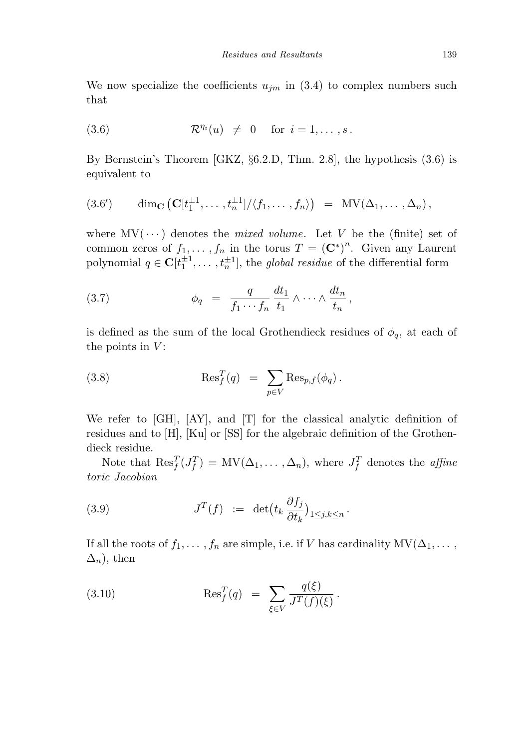We now specialize the coefficients  $u_{jm}$  in (3.4) to complex numbers such that

$$
(3.6) \t\t \mathcal{R}^{\eta_i}(u) \neq 0 \t\t \text{for } i = 1, ..., s.
$$

By Bernstein's Theorem [GKZ, §6.2.D, Thm. 2.8], the hypothesis (3.6) is equivalent to

$$
(3.6') \qquad \dim_{\mathbf{C}} (\mathbf{C}[t_1^{\pm 1}, \ldots, t_n^{\pm 1}]/\langle f_1, \ldots, f_n \rangle) = \mathrm{MV}(\Delta_1, \ldots, \Delta_n),
$$

where  $MV(\cdots)$  denotes the *mixed volume*. Let *V* be the (finite) set of common zeros of  $f_1, \ldots, f_n$  in the torus  $T = (\mathbf{C}^*)^n$ . Given any Laurent polynomial  $q \in \mathbf{C}[t_1^{\pm 1}, \ldots, t_n^{\pm 1}]$ , the *global residue* of the differential form

(3.7) 
$$
\phi_q = \frac{q}{f_1 \cdots f_n} \frac{dt_1}{t_1} \wedge \cdots \wedge \frac{dt_n}{t_n},
$$

is defined as the sum of the local Grothendieck residues of  $\phi_q$ , at each of the points in *V* :

(3.8) 
$$
\operatorname{Res}_{f}^{T}(q) = \sum_{p \in V} \operatorname{Res}_{p,f}(\phi_{q}).
$$

We refer to [GH], [AY], and [T] for the classical analytic definition of residues and to [H], [Ku] or [SS] for the algebraic definition of the Grothendieck residue.

Note that  $\text{Res}_{f}^{T}(J_f^T) = MV(\Delta_1,\ldots,\Delta_n)$ , where  $J_f^T$  denotes the *affine* toric Jacobian

(3.9) 
$$
J^T(f) := \det \left( t_k \frac{\partial f_j}{\partial t_k} \right)_{1 \leq j,k \leq n}.
$$

If all the roots of  $f_1, \ldots, f_n$  are simple, i.e. if *V* has cardinality  $MV(\Delta_1, \ldots, \Delta_n)$  $\Delta_n$ , then

(3.10) 
$$
\text{Res}_{f}^{T}(q) = \sum_{\xi \in V} \frac{q(\xi)}{J^{T}(f)(\xi)}.
$$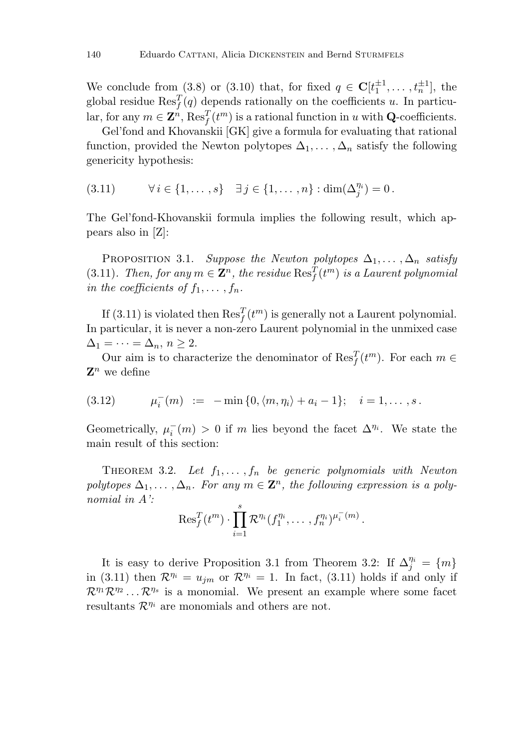We conclude from (3.8) or (3.10) that, for fixed  $q \in \mathbb{C}[t_1^{\pm 1}, \ldots, t_n^{\pm 1}]$ , the global residue  $\text{Res}_{f}^{T}(q)$  depends rationally on the coefficients *u*. In particular, for any  $m \in \mathbf{Z}^n$ ,  $\text{Res}_f^T(t^m)$  is a rational function in *u* with **Q**-coefficients.

Gel'fond and Khovanskii [GK] give a formula for evaluating that rational function, provided the Newton polytopes  $\Delta_1, \ldots, \Delta_n$  satisfy the following genericity hypothesis:

(3.11)  $\forall i \in \{1, ..., s\} \quad \exists j \in \{1, ..., n\} : \dim(\Delta_j^{\eta_i}) = 0.$ 

The Gel'fond-Khovanskii formula implies the following result, which appears also in [Z]:

PROPOSITION 3.1. Suppose the Newton polytopes  $\Delta_1, \ldots, \Delta_n$  satisfy (3.11). Then, for any  $m \in \mathbb{Z}^n$ , the residue  $\text{Res}_{f}^{T}(t^m)$  is a Laurent polynomial in the coefficients of  $f_1, \ldots, f_n$ .

If  $(3.11)$  is violated then  $\text{Res}_{f}^{T}(t^{m})$  is generally not a Laurent polynomial. In particular, it is never a non-zero Laurent polynomial in the unmixed case  $\Delta_1 = \cdots = \Delta_n, n \geq 2.$ 

Our aim is to characterize the denominator of  $\text{Res}_{f}^{T}(t^{m})$ . For each  $m \in$  $\mathbf{Z}^n$  we define

(3.12) 
$$
\mu_i^-(m) := -\min\{0, \langle m, \eta_i \rangle + a_i - 1\}; \quad i = 1, ..., s.
$$

Geometrically,  $\mu_i^-(m) > 0$  if *m* lies beyond the facet  $\Delta^{\eta_i}$ . We state the main result of this section:

THEOREM 3.2. Let  $f_1, \ldots, f_n$  be generic polynomials with Newton polytopes  $\Delta_1, \ldots, \Delta_n$ . For any  $m \in \mathbb{Z}^n$ , the following expression is a polynomial in *A*':

$$
\operatorname{Res}^T_f(t^m) \cdot \prod_{i=1}^s \mathcal{R}^{\eta_i}(f_1^{\eta_i}, \ldots, f_n^{\eta_i})^{\mu_i^-(m)}.
$$

It is easy to derive Proposition 3.1 from Theorem 3.2: If  $\Delta_j^{\eta_i} = \{m\}$ in (3.11) then  $\mathcal{R}^{\eta_i} = u_{jm}$  or  $\mathcal{R}^{\eta_i} = 1$ . In fact, (3.11) holds if and only if  $\mathcal{R}^{\eta_1}\mathcal{R}^{\eta_2}\dots\mathcal{R}^{\eta_s}$  is a monomial. We present an example where some facet resultants  $\mathcal{R}^{\eta_i}$  are monomials and others are not.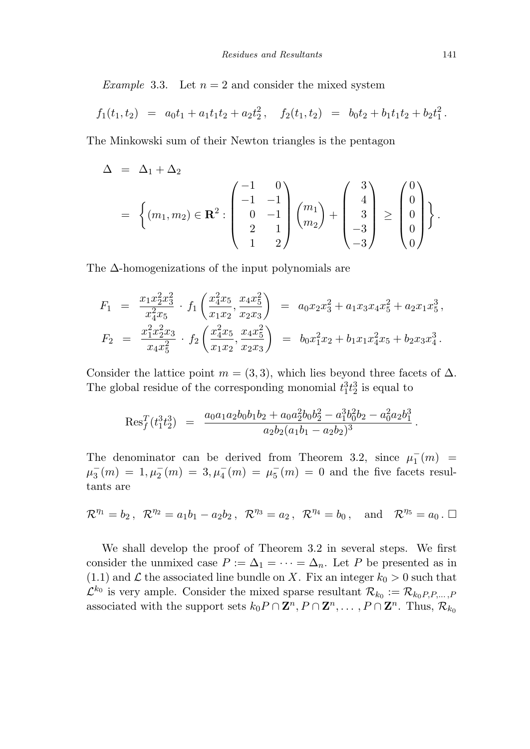*Example* 3.3. Let  $n = 2$  and consider the mixed system

$$
f_1(t_1, t_2) = a_0 t_1 + a_1 t_1 t_2 + a_2 t_2^2, \quad f_2(t_1, t_2) = b_0 t_2 + b_1 t_1 t_2 + b_2 t_1^2.
$$

The Minkowski sum of their Newton triangles is the pentagon

$$
\Delta = \Delta_1 + \Delta_2
$$
\n
$$
= \left\{ (m_1, m_2) \in \mathbf{R}^2 : \begin{pmatrix} -1 & 0 \\ -1 & -1 \\ 0 & -1 \\ 2 & 1 \\ 1 & 2 \end{pmatrix} \begin{pmatrix} m_1 \\ m_2 \end{pmatrix} + \begin{pmatrix} 3 \\ 4 \\ 3 \\ -3 \\ -3 \end{pmatrix} \ge \begin{pmatrix} 0 \\ 0 \\ 0 \\ 0 \\ 0 \end{pmatrix} \right\}.
$$

The ∆-homogenizations of the input polynomials are

$$
F_1 = \frac{x_1 x_2^2 x_3^2}{x_4^2 x_5} \cdot f_1 \left( \frac{x_4^2 x_5}{x_1 x_2}, \frac{x_4 x_5^2}{x_2 x_3} \right) = a_0 x_2 x_3^2 + a_1 x_3 x_4 x_5^2 + a_2 x_1 x_5^3,
$$
  
\n
$$
F_2 = \frac{x_1^2 x_2^2 x_3}{x_4 x_5^2} \cdot f_2 \left( \frac{x_4^2 x_5}{x_1 x_2}, \frac{x_4 x_5^2}{x_2 x_3} \right) = b_0 x_1^2 x_2 + b_1 x_1 x_4^2 x_5 + b_2 x_3 x_4^3.
$$

Consider the lattice point  $m = (3, 3)$ , which lies beyond three facets of  $\Delta$ . The global residue of the corresponding monomial  $t_1^3 t_2^3$  is equal to

$$
\text{Res}_{f}^{T}(t_1^3t_2^3) = \frac{a_0a_1a_2b_0b_1b_2 + a_0a_2^2b_0b_2^2 - a_1^3b_0^2b_2 - a_0^2a_2b_1^3}{a_2b_2(a_1b_1 - a_2b_2)^3}.
$$

The denominator can be derived from Theorem 3.2, since  $\mu_1^-(m)$  =  $\mu_3^-(m) = 1, \mu_2^-(m) = 3, \mu_4^-(m) = \mu_5^-(m) = 0$  and the five facets resultants are

$$
\mathcal{R}^{\eta_1} = b_2
$$
,  $\mathcal{R}^{\eta_2} = a_1b_1 - a_2b_2$ ,  $\mathcal{R}^{\eta_3} = a_2$ ,  $\mathcal{R}^{\eta_4} = b_0$ , and  $\mathcal{R}^{\eta_5} = a_0$ .  $\Box$ 

We shall develop the proof of Theorem 3.2 in several steps. We first consider the unmixed case  $P := \Delta_1 = \cdots = \Delta_n$ . Let P be presented as in (1.1) and  $\mathcal L$  the associated line bundle on X. Fix an integer  $k_0 > 0$  such that  $\mathcal{L}^{k_0}$  is very ample. Consider the mixed sparse resultant  $\mathcal{R}_{k_0} := \mathcal{R}_{k_0 P, P, \dots, P}$ associated with the support sets  $k_0P \cap \mathbf{Z}^n, P \cap \mathbf{Z}^n, \ldots, P \cap \mathbf{Z}^n$ . Thus,  $\mathcal{R}_{k_0}$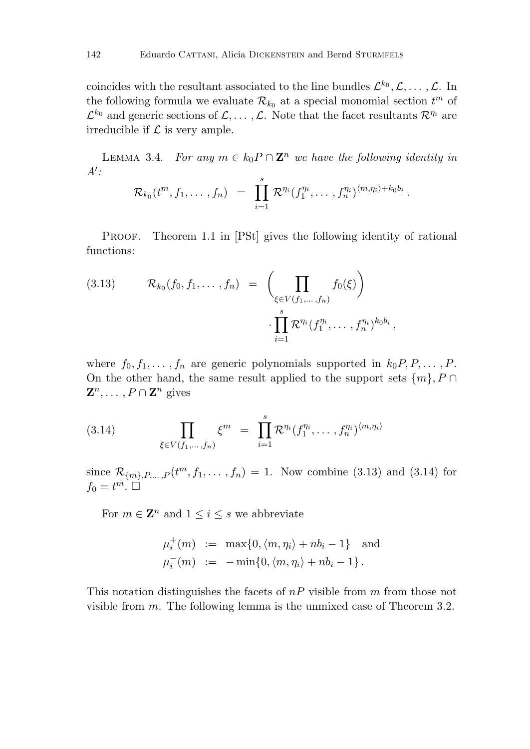coincides with the resultant associated to the line bundles  $\mathcal{L}^{k_0}, \mathcal{L}, \ldots, \mathcal{L}$ . In the following formula we evaluate  $\mathcal{R}_{k_0}$  at a special monomial section  $t^m$  of  $\mathcal{L}^{k_0}$  and generic sections of  $\mathcal{L}, \ldots, \mathcal{L}$ . Note that the facet resultants  $\mathcal{R}^{\eta_i}$  are irreducible if  $\mathcal L$  is very ample.

LEMMA 3.4. For any  $m \in k_0 P \cap \mathbb{Z}^n$  we have the following identity in  $A$ <sup> $\prime$ </sup>:

$$
\mathcal{R}_{k_0}(t^m,f_1,\ldots,f_n) = \prod_{i=1}^s \mathcal{R}^{\eta_i}(f_1^{\eta_i},\ldots,f_n^{\eta_i})^{\langle m,\eta_i\rangle + k_0b_i}.
$$

PROOF. Theorem 1.1 in [PSt] gives the following identity of rational functions:

(3.13) 
$$
\mathcal{R}_{k_0}(f_0, f_1, \dots, f_n) = \left( \prod_{\xi \in V(f_1, \dots, f_n)} f_0(\xi) \right) \cdot \prod_{i=1}^s \mathcal{R}^{\eta_i}(f_1^{\eta_i}, \dots, f_n^{\eta_i})^{k_0 b_i},
$$

where  $f_0, f_1, \ldots, f_n$  are generic polynomials supported in  $k_0 P, P, \ldots, P$ . On the other hand, the same result applied to the support sets  $\{m\}$ ,  $P \cap$  $\mathbf{Z}^n, \ldots, P \cap \mathbf{Z}^n$  gives

(3.14) 
$$
\prod_{\xi \in V(f_1,\ldots,f_n)} \xi^m = \prod_{i=1}^s \mathcal{R}^{\eta_i} (f_1^{\eta_i},\ldots,f_n^{\eta_i})^{\langle m,\eta_i \rangle}
$$

since  $\mathcal{R}_{\{m\},P,...,P}(t^m, f_1,..., f_n) = 1$ . Now combine (3.13) and (3.14) for  $f_0 = t^m$ .

For  $m \in \mathbb{Z}^n$  and  $1 \leq i \leq s$  we abbreviate

$$
\mu_i^+(m) := \max\{0, \langle m, \eta_i \rangle + nb_i - 1\} \text{ and}
$$
  

$$
\mu_i^-(m) := -\min\{0, \langle m, \eta_i \rangle + nb_i - 1\}.
$$

This notation distinguishes the facets of *nP* visible from *m* from those not visible from *m*. The following lemma is the unmixed case of Theorem 3.2.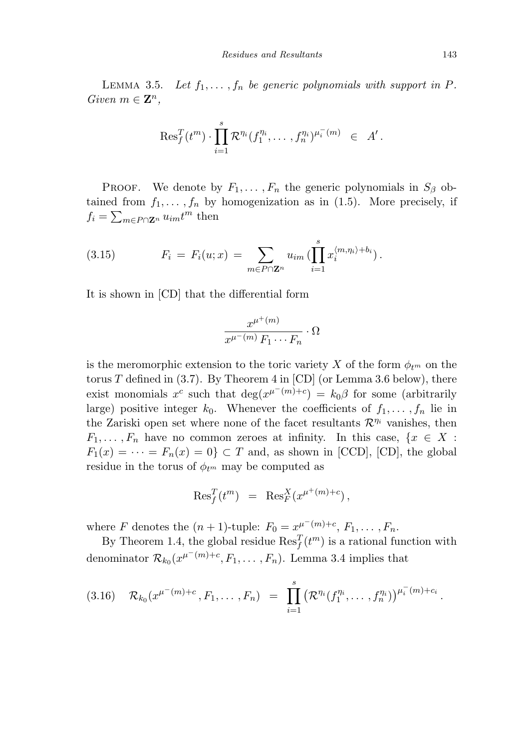LEMMA 3.5. Let  $f_1, \ldots, f_n$  be generic polynomials with support in *P*. Given  $m \in \mathbb{Z}^n$ ,

$$
ext{Res}^T_f(t^m) \cdot \prod_{i=1}^s \mathcal{R}^{\eta_i}(f_1^{\eta_i}, \ldots, f_n^{\eta_i})^{\mu_i^-(m)} \in A'.
$$

PROOF. We denote by  $F_1, \ldots, F_n$  the generic polynomials in  $S_\beta$  obtained from  $f_1, \ldots, f_n$  by homogenization as in (1.5). More precisely, if  $f_i = \sum_{m \in P \cap \mathbf{Z}^n} u_{im} t^m$  then

(3.15) 
$$
F_i = F_i(u; x) = \sum_{m \in P \cap \mathbf{Z}^n} u_{im} \left( \prod_{i=1}^s x_i^{\langle m, \eta_i \rangle + b_i} \right).
$$

It is shown in [CD] that the differential form

$$
\frac{x^{\mu^+(m)}}{x^{\mu^-(m)} F_1 \cdots F_n} \cdot \Omega
$$

is the meromorphic extension to the toric variety X of the form  $\phi_{t_m}$  on the torus  $T$  defined in  $(3.7)$ . By Theorem  $4$  in  $[CD]$  (or Lemma 3.6 below), there exist monomials  $x^c$  such that  $\deg(x^{\mu^-(m)+c}) = k_0\beta$  for some (arbitrarily large) positive integer  $k_0$ . Whenever the coefficients of  $f_1, \ldots, f_n$  lie in the Zariski open set where none of the facet resultants  $\mathcal{R}^{\eta_i}$  vanishes, then *F*<sub>1</sub>*,... ,F*<sub>n</sub> have no common zeroes at infinity. In this case, { $x \in X$  :  $F_1(x) = \cdots = F_n(x) = 0$   $\subset T$  and, as shown in [CCD], [CD], the global residue in the torus of  $\phi_{t^m}$  may be computed as

$$
\mathrm{Res}^T_f(t^m) = \mathrm{Res}^X_F(x^{\mu^+(m)+c}),
$$

where *F* denotes the  $(n + 1)$ -tuple:  $F_0 = x^{\mu^-(m)+c}, F_1, \ldots, F_n$ .

By Theorem 1.4, the global residue  $\text{Res}_{f}^{T}(t^{m})$  is a rational function with denominator  $\mathcal{R}_{k_0}(x^{\mu^-(m)+c}, F_1, \ldots, F_n)$ . Lemma 3.4 implies that

$$
(3.16) \quad \mathcal{R}_{k_0}(x^{\mu^-(m)+c}, F_1, \ldots, F_n) \; = \; \prod_{i=1}^s \big( \mathcal{R}^{\eta_i}(f_1^{\eta_i}, \ldots, f_n^{\eta_i}) \big)^{\mu_i^-(m)+c_i} \, .
$$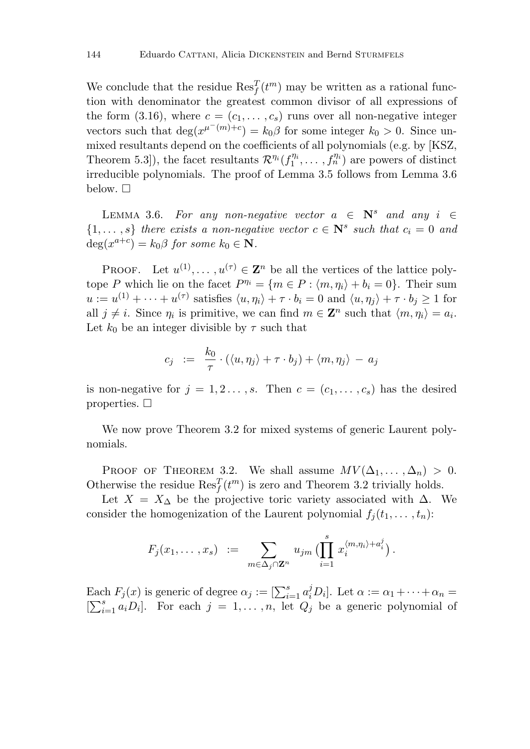We conclude that the residue  $\text{Res}_{f}^{T}(t^{m})$  may be written as a rational function with denominator the greatest common divisor of all expressions of the form (3.16), where  $c = (c_1, \ldots, c_s)$  runs over all non-negative integer vectors such that  $\deg(x^{\mu^-(m)+c}) = k_0\beta$  for some integer  $k_0 > 0$ . Since unmixed resultants depend on the coefficients of all polynomials (e.g. by [KSZ, Theorem 5.3]), the facet resultants  $\mathcal{R}^{\eta_i}(f_1^{\eta_i}, \ldots, f_n^{\eta_i})$  are powers of distinct irreducible polynomials. The proof of Lemma 3.5 follows from Lemma 3.6 below.  $\Box$ 

LEMMA 3.6. For any non-negative vector  $a \in \mathbb{N}^s$  and any  $i \in \mathbb{N}$  $\{1, \ldots, s\}$  there exists a non-negative vector  $c \in \mathbb{N}^s$  such that  $c_i = 0$  and  $deg(x^{a+c}) = k_0 \beta$  for some  $k_0 \in \mathbb{N}$ .

PROOF. Let  $u^{(1)}, \ldots, u^{(\tau)} \in \mathbf{Z}^n$  be all the vertices of the lattice polytope *P* which lie on the facet  $P^{\eta_i} = \{m \in P : \langle m, \eta_i \rangle + b_i = 0\}$ . Their sum  $u := u^{(1)} + \cdots + u^{(\tau)}$  satisfies  $\langle u, \eta_i \rangle + \tau \cdot b_i = 0$  and  $\langle u, \eta_j \rangle + \tau \cdot b_j \ge 1$  for all  $j \neq i$ . Since  $\eta_i$  is primitive, we can find  $m \in \mathbb{Z}^n$  such that  $\langle m, \eta_i \rangle = a_i$ . Let  $k_0$  be an integer divisible by  $\tau$  such that

$$
c_j \;\; := \;\; \frac{k_0}{\tau} \cdot (\langle u, \eta_j \rangle + \tau \cdot b_j) + \langle m, \eta_j \rangle \; - \; a_j
$$

is non-negative for  $j = 1, 2, \ldots, s$ . Then  $c = (c_1, \ldots, c_s)$  has the desired properties.  $\Box$ 

We now prove Theorem 3.2 for mixed systems of generic Laurent polynomials.

PROOF OF THEOREM 3.2. We shall assume  $MV(\Delta_1, \ldots, \Delta_n) > 0$ . Otherwise the residue  $\text{Res}_{f}^{T}(t^{m})$  is zero and Theorem 3.2 trivially holds.

Let  $X = X_{\Delta}$  be the projective toric variety associated with  $\Delta$ . We consider the homogenization of the Laurent polynomial  $f_j(t_1, \ldots, t_n)$ :

$$
F_j(x_1,\ldots,x_s) \ := \ \sum_{m\in\Delta_j\cap\mathbf{Z}^n} \ u_{jm} \bigl(\prod_{i=1}^s x_i^{\langle m,\eta_i\rangle+a_i^j}\bigr) \, .
$$

Each  $F_j(x)$  is generic of degree  $\alpha_j := \left[\sum_{i=1}^s a_i^j D_i\right]$ . Let  $\alpha := \alpha_1 + \cdots + \alpha_n =$  $[\sum_{i=1}^{s} a_i D_i]$ . For each  $j = 1, \ldots, n$ , let  $Q_j$  be a generic polynomial of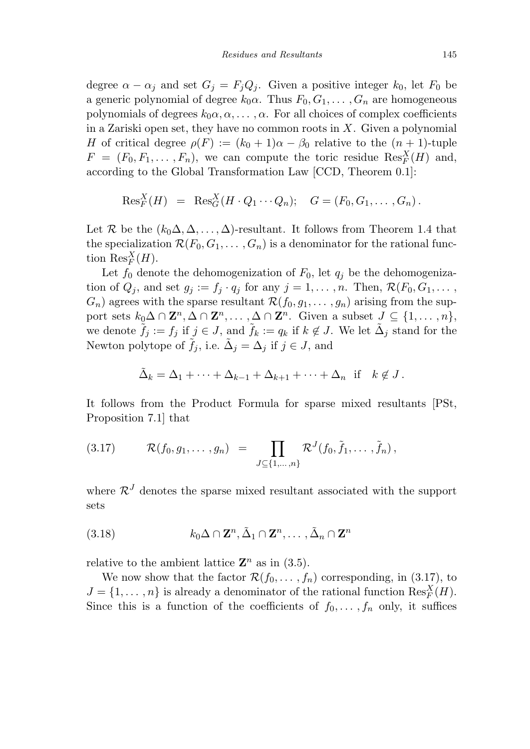degree  $\alpha - \alpha_j$  and set  $G_j = F_j Q_j$ . Given a positive integer  $k_0$ , let  $F_0$  be a generic polynomial of degree  $k_0\alpha$ . Thus  $F_0, G_1, \ldots, G_n$  are homogeneous polynomials of degrees  $k_0\alpha, \alpha, \ldots, \alpha$ . For all choices of complex coefficients in a Zariski open set, they have no common roots in *X*. Given a polynomial *H* of critical degree  $\rho(F) := (k_0 + 1)\alpha - \beta_0$  relative to the  $(n + 1)$ -tuple  $F = (F_0, F_1, \ldots, F_n)$ , we can compute the toric residue  $\text{Res}_F^X(H)$  and, according to the Global Transformation Law [CCD, Theorem 0.1]:

$$
\text{Res}_F^X(H) = \text{Res}_G^X(H \cdot Q_1 \cdots Q_n); \quad G = (F_0, G_1, \ldots, G_n).
$$

Let  $\mathcal R$  be the  $(k_0\Delta,\Delta,\ldots,\Delta)$ -resultant. It follows from Theorem 1.4 that the specialization  $\mathcal{R}(F_0, G_1, \ldots, G_n)$  is a denominator for the rational function  $\text{Res}_{F}^{X}(H)$ .

Let  $f_0$  denote the dehomogenization of  $F_0$ , let  $q_j$  be the dehomogenization of  $Q_j$ , and set  $g_j := f_j \cdot q_j$  for any  $j = 1, \ldots, n$ . Then,  $\mathcal{R}(F_0, G_1, \ldots, G_j)$  $G_n$ ) agrees with the sparse resultant  $\mathcal{R}(f_0, g_1, \ldots, g_n)$  arising from the support sets  $k_0 \Delta \cap \mathbf{Z}^n, \Delta \cap \mathbf{Z}^n, \ldots, \Delta \cap \mathbf{Z}^n$ . Given a subset  $J \subseteq \{1, \ldots, n\}$ , we denote  $f_j := f_j$  if  $j \in J$ , and  $f_k := q_k$  if  $k \notin J$ . We let  $\Delta_j$  stand for the Newton polytope of  $\tilde{f}_j$ , i.e.  $\tilde{\Delta}_j = \Delta_j$  if  $j \in J$ , and

$$
\tilde{\Delta}_k = \Delta_1 + \dots + \Delta_{k-1} + \Delta_{k+1} + \dots + \Delta_n \text{ if } k \notin J.
$$

It follows from the Product Formula for sparse mixed resultants [PSt, Proposition 7.1] that

$$
(3.17) \t\mathcal{R}(f_0,g_1,\ldots,g_n) = \prod_{J \subseteq \{1,\ldots,n\}} \mathcal{R}^J(f_0,\tilde{f}_1,\ldots,\tilde{f}_n),
$$

where  $\mathcal{R}^J$  denotes the sparse mixed resultant associated with the support sets

(3.18) 
$$
k_0 \Delta \cap \mathbf{Z}^n, \tilde{\Delta}_1 \cap \mathbf{Z}^n, \ldots, \tilde{\Delta}_n \cap \mathbf{Z}^n
$$

relative to the ambient lattice  $\mathbb{Z}^n$  as in (3.5).

We now show that the factor  $\mathcal{R}(f_0, \ldots, f_n)$  corresponding, in (3.17), to  $J = \{1, \ldots, n\}$  is already a denominator of the rational function  $\text{Res}_{F}^{X}(H)$ . Since this is a function of the coefficients of  $f_0, \ldots, f_n$  only, it suffices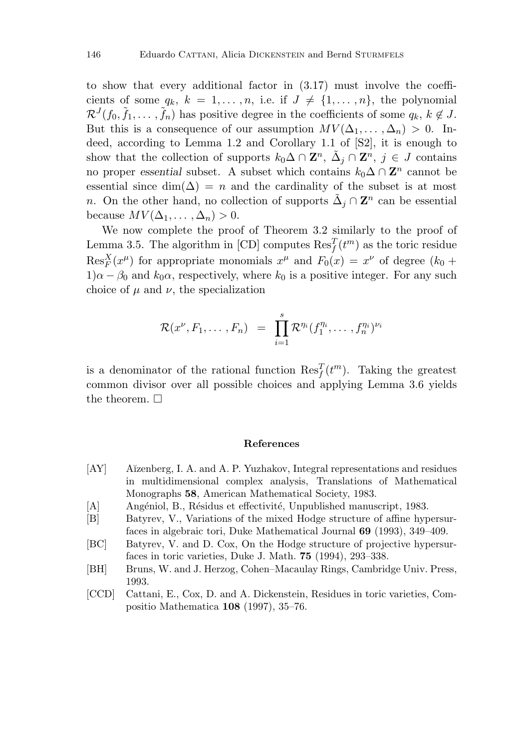to show that every additional factor in (3.17) must involve the coefficients of some  $q_k$ ,  $k = 1, \ldots, n$ , i.e. if  $J \neq \{1, \ldots, n\}$ , the polynomial  $\mathcal{R}^J(f_0, \tilde{f}_1, \ldots, \tilde{f}_n)$  has positive degree in the coefficients of some  $q_k, k \notin J$ . But this is a consequence of our assumption  $MV(\Delta_1, \ldots, \Delta_n) > 0$ . Indeed, according to Lemma 1.2 and Corollary 1.1 of [S2], it is enough to show that the collection of supports  $k_0 \Delta \cap \mathbb{Z}^n$ ,  $\Delta_j \cap \mathbb{Z}^n$ ,  $j \in J$  contains no proper *essential* subset. A subset which contains  $k_0 \Delta \cap \mathbb{Z}^n$  cannot be essential since  $\dim(\Delta) = n$  and the cardinality of the subset is at most *n*. On the other hand, no collection of supports  $\tilde{\Delta}_j \cap \mathbf{Z}^n$  can be essential because  $MV(\Delta_1, \ldots, \Delta_n) > 0$ .

We now complete the proof of Theorem 3.2 similarly to the proof of Lemma 3.5. The algorithm in [CD] computes  $\text{Res}_{f}^{T}(t^{m})$  as the toric residue  $\text{Res}_{F}^{X}(x^{\mu})$  for appropriate monomials  $x^{\mu}$  and  $F_{0}(x) = x^{\nu}$  of degree ( $k_{0}$  +  $1)\alpha - \beta_0$  and  $k_0\alpha$ , respectively, where  $k_0$  is a positive integer. For any such choice of  $\mu$  and  $\nu$ , the specialization

$$
\mathcal{R}(x^{\nu}, F_1, \ldots, F_n) = \prod_{i=1}^s \mathcal{R}^{\eta_i} (f_1^{\eta_i}, \ldots, f_n^{\eta_i})^{\nu_i}
$$

is a denominator of the rational function  $\text{Res}_{f}^{T}(t^{m})$ . Taking the greatest common divisor over all possible choices and applying Lemma 3.6 yields the theorem.  $\Box$ 

#### **References**

- [AY] A˘ızenberg, I. A. and A. P. Yuzhakov, Integral representations and residues in multidimensional complex analysis, Translations of Mathematical Monographs **58**, American Mathematical Society, 1983.
- [A] Angéniol, B., Résidus et effectivité, Unpublished manuscript, 1983.
- [B] Batyrev, V., Variations of the mixed Hodge structure of affine hypersurfaces in algebraic tori, Duke Mathematical Journal **69** (1993), 349–409.
- [BC] Batyrev, V. and D. Cox, On the Hodge structure of projective hypersurfaces in toric varieties, Duke J. Math. **75** (1994), 293–338.
- [BH] Bruns, W. and J. Herzog, Cohen–Macaulay Rings, Cambridge Univ. Press, 1993.
- [CCD] Cattani, E., Cox, D. and A. Dickenstein, Residues in toric varieties, Compositio Mathematica **108** (1997), 35–76.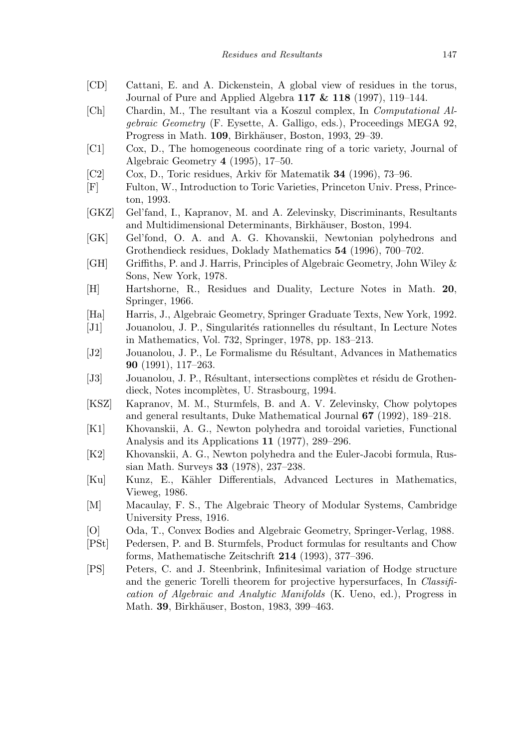- [CD] Cattani, E. and A. Dickenstein, A global view of residues in the torus, Journal of Pure and Applied Algebra **117 & 118** (1997), 119–144.
- [Ch] Chardin, M., The resultant via a Koszul complex, In Computational Algebraic Geometry (F. Eysette, A. Galligo, eds.), Proceedings MEGA 92, Progress in Math. **109**, Birkhäuser, Boston, 1993, 29–39.
- [C1] Cox, D., The homogeneous coordinate ring of a toric variety, Journal of Algebraic Geometry **4** (1995), 17–50.
- [C2] Cox, D., Toric residues, Arkiv för Matematik **34** (1996), 73–96.
- [F] Fulton, W., Introduction to Toric Varieties, Princeton Univ. Press, Princeton, 1993.
- [GKZ] Gel'fand, I., Kapranov, M. and A. Zelevinsky, Discriminants, Resultants and Multidimensional Determinants, Birkhäuser, Boston, 1994.
- [GK] Gel'fond, O. A. and A. G. Khovanskii, Newtonian polyhedrons and Grothendieck residues, Doklady Mathematics **54** (1996), 700–702.
- [GH] Griffiths, P. and J. Harris, Principles of Algebraic Geometry, John Wiley & Sons, New York, 1978.
- [H] Hartshorne, R., Residues and Duality, Lecture Notes in Math. **20**, Springer, 1966.
- [Ha] Harris, J., Algebraic Geometry, Springer Graduate Texts, New York, 1992.
- [J1] Jouanolou, J. P., Singularités rationnelles du résultant, In Lecture Notes in Mathematics, Vol. 732, Springer, 1978, pp. 183–213.
- [J2] Jouanolou, J. P., Le Formalisme du R´esultant, Advances in Mathematics **90** (1991), 117–263.
- [J3] Jouanolou, J. P., Résultant, intersections complètes et résidu de Grothendieck, Notes incomplètes, U. Strasbourg, 1994.
- [KSZ] Kapranov, M. M., Sturmfels, B. and A. V. Zelevinsky, Chow polytopes and general resultants, Duke Mathematical Journal **67** (1992), 189–218.
- [K1] Khovanskii, A. G., Newton polyhedra and toroidal varieties, Functional Analysis and its Applications **11** (1977), 289–296.
- [K2] Khovanskii, A. G., Newton polyhedra and the Euler-Jacobi formula, Russian Math. Surveys **33** (1978), 237–238.
- [Ku] Kunz, E., K¨ahler Differentials, Advanced Lectures in Mathematics, Vieweg, 1986.
- [M] Macaulay, F. S., The Algebraic Theory of Modular Systems, Cambridge University Press, 1916.
- [O] Oda, T., Convex Bodies and Algebraic Geometry, Springer-Verlag, 1988.
- [PSt] Pedersen, P. and B. Sturmfels, Product formulas for resultants and Chow forms, Mathematische Zeitschrift **214** (1993), 377–396.
- [PS] Peters, C. and J. Steenbrink, Infinitesimal variation of Hodge structure and the generic Torelli theorem for projective hypersurfaces, In *Classifi*cation of Algebraic and Analytic Manifolds (K. Ueno, ed.), Progress in Math. **39**, Birkhäuser, Boston, 1983, 399–463.